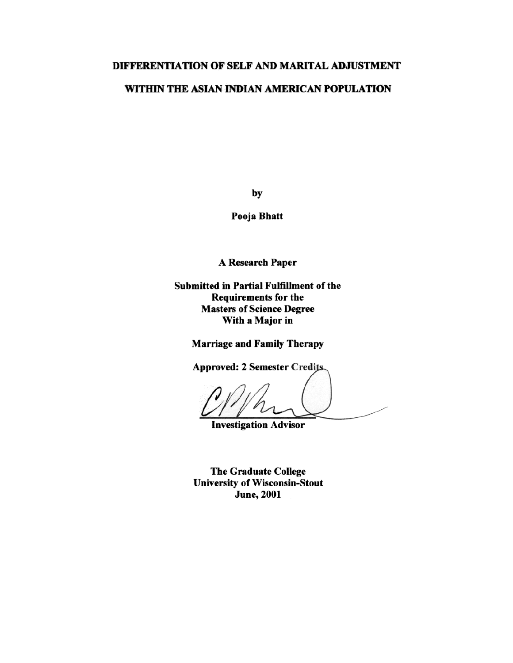# DIFFERENTIATION OF SELF AND MARITAL ADJUSTMENT

# WITHIN THE ASIAN INDIAN AMERICAN POPULATION

by

Pooja Bhatt

A Research Paper

**Submitted in Partial Fulfillment of the Requirements for the Masters of Science Degree** With a Major in

**Marriage and Family Therapy** 

**Approved: 2 Semester Credits.** 

**Investigation Advisor** 

The Graduate College **University of Wisconsin-Stout June, 2001**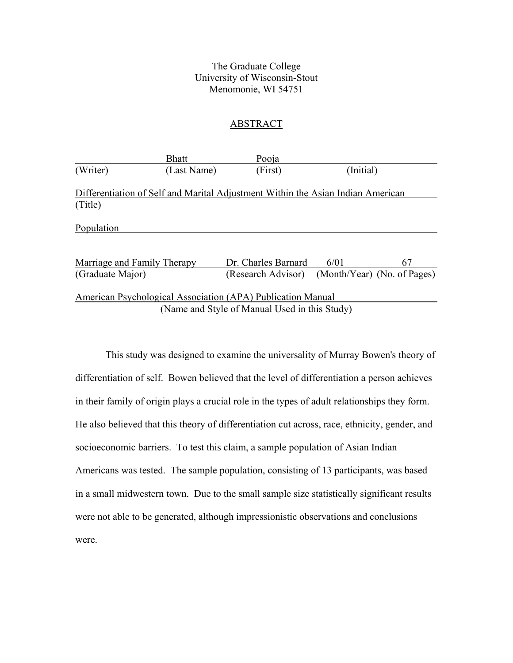# The Graduate College University of Wisconsin-Stout Menomonie, WI 54751

## ABSTRACT

|                                    | <b>Bhatt</b> | Pooja                                                                           |           |                             |
|------------------------------------|--------------|---------------------------------------------------------------------------------|-----------|-----------------------------|
| (Writer)                           | (Last Name)  | (First)                                                                         | (Initial) |                             |
|                                    |              | Differentiation of Self and Marital Adjustment Within the Asian Indian American |           |                             |
| (Title)                            |              |                                                                                 |           |                             |
| Population                         |              |                                                                                 |           |                             |
|                                    |              |                                                                                 |           |                             |
| <b>Marriage and Family Therapy</b> |              | Dr. Charles Barnard                                                             | 6/01      | 67                          |
| (Graduate Major)                   |              | (Research Advisor)                                                              |           | (Month/Year) (No. of Pages) |
|                                    |              | American Psychological Association (APA) Publication Manual                     |           |                             |
|                                    |              | (Name and Style of Manual Used in this Study)                                   |           |                             |

 This study was designed to examine the universality of Murray Bowen's theory of differentiation of self. Bowen believed that the level of differentiation a person achieves in their family of origin plays a crucial role in the types of adult relationships they form. He also believed that this theory of differentiation cut across, race, ethnicity, gender, and socioeconomic barriers. To test this claim, a sample population of Asian Indian Americans was tested. The sample population, consisting of 13 participants, was based in a small midwestern town. Due to the small sample size statistically significant results were not able to be generated, although impressionistic observations and conclusions were.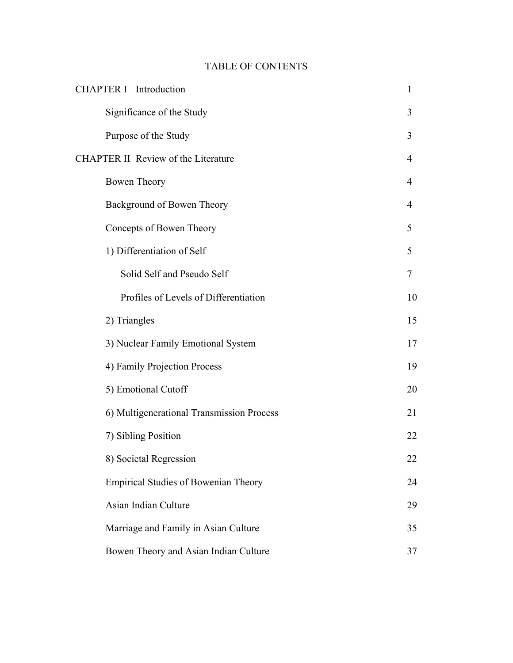# TABLE OF CONTENTS

| <b>CHAPTER I</b> Introduction               | $\mathbf{1}$   |  |
|---------------------------------------------|----------------|--|
| Significance of the Study                   | 3              |  |
| Purpose of the Study                        | 3              |  |
| <b>CHAPTER II Review of the Literature</b>  |                |  |
| Bowen Theory                                | 4              |  |
| Background of Bowen Theory                  | $\overline{4}$ |  |
| Concepts of Bowen Theory                    | 5              |  |
| 1) Differentiation of Self                  | 5              |  |
| Solid Self and Pseudo Self                  | 7              |  |
| Profiles of Levels of Differentiation       | 10             |  |
| 2) Triangles                                | 15             |  |
| 3) Nuclear Family Emotional System          | 17             |  |
| 4) Family Projection Process                | 19             |  |
| 5) Emotional Cutoff                         | 20             |  |
| 6) Multigenerational Transmission Process   | 21             |  |
| 7) Sibling Position                         | 22             |  |
| 8) Societal Regression                      | 22             |  |
| <b>Empirical Studies of Bowenian Theory</b> | 24             |  |
| Asian Indian Culture                        | 29             |  |
| Marriage and Family in Asian Culture        | 35             |  |
| Bowen Theory and Asian Indian Culture       | 37             |  |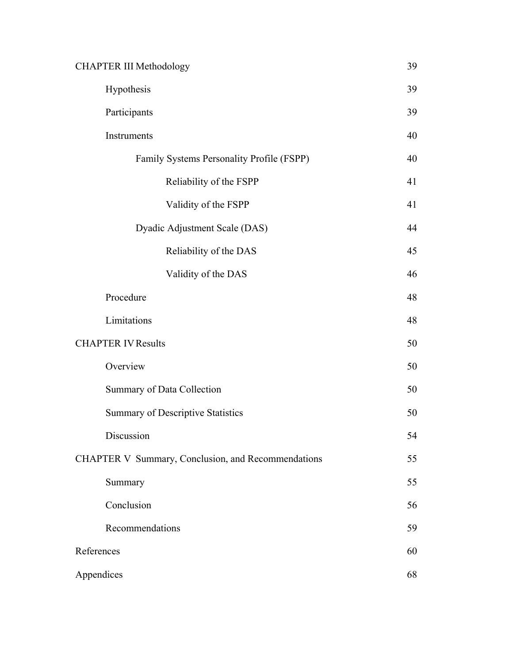| <b>CHAPTER III Methodology</b>                     |    |
|----------------------------------------------------|----|
| Hypothesis                                         | 39 |
| Participants                                       | 39 |
| Instruments                                        | 40 |
| Family Systems Personality Profile (FSPP)          | 40 |
| Reliability of the FSPP                            | 41 |
| Validity of the FSPP                               | 41 |
| Dyadic Adjustment Scale (DAS)                      | 44 |
| Reliability of the DAS                             | 45 |
| Validity of the DAS                                | 46 |
| Procedure                                          | 48 |
| Limitations                                        | 48 |
| <b>CHAPTER IV Results</b>                          | 50 |
| Overview                                           | 50 |
| Summary of Data Collection                         | 50 |
| <b>Summary of Descriptive Statistics</b>           | 50 |
| Discussion                                         | 54 |
| CHAPTER V Summary, Conclusion, and Recommendations |    |
| Summary                                            | 55 |
| Conclusion                                         | 56 |
| Recommendations                                    | 59 |
| References                                         |    |
| Appendices                                         |    |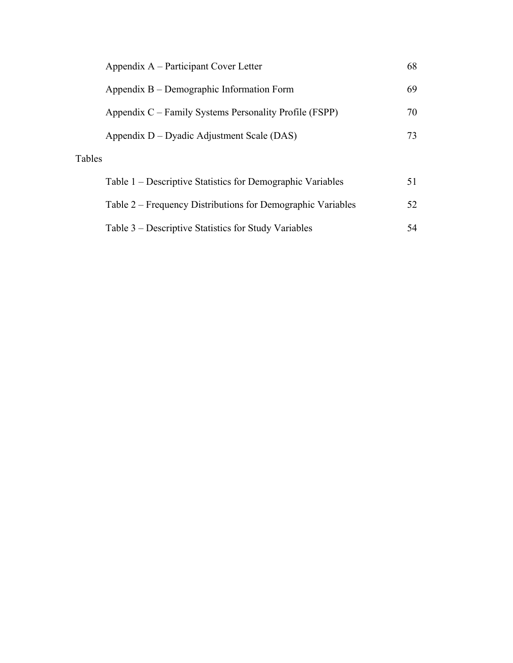|        | Appendix A – Participant Cover Letter                       | 68 |
|--------|-------------------------------------------------------------|----|
|        | Appendix B – Demographic Information Form                   | 69 |
|        | Appendix C – Family Systems Personality Profile (FSPP)      | 70 |
|        | Appendix D – Dyadic Adjustment Scale (DAS)                  | 73 |
| Tables |                                                             |    |
|        | Table 1 – Descriptive Statistics for Demographic Variables  | 51 |
|        | Table 2 – Frequency Distributions for Demographic Variables | 52 |
|        | Table 3 – Descriptive Statistics for Study Variables        | 54 |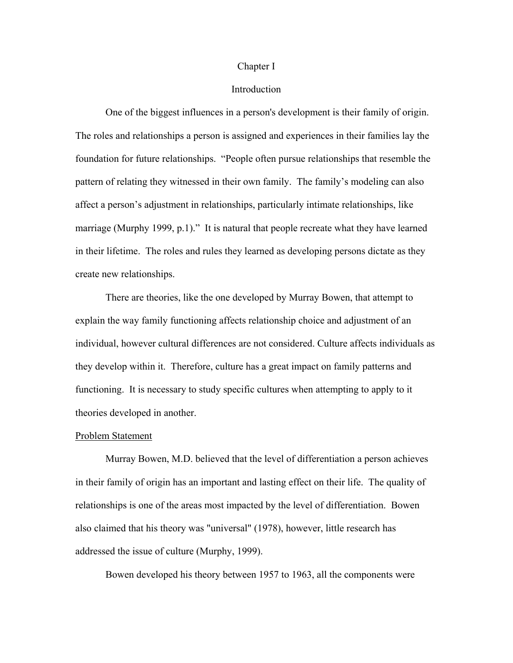#### Chapter I

# Introduction

One of the biggest influences in a person's development is their family of origin. The roles and relationships a person is assigned and experiences in their families lay the foundation for future relationships. "People often pursue relationships that resemble the pattern of relating they witnessed in their own family. The family's modeling can also affect a person's adjustment in relationships, particularly intimate relationships, like marriage (Murphy 1999, p.1)." It is natural that people recreate what they have learned in their lifetime. The roles and rules they learned as developing persons dictate as they create new relationships.

There are theories, like the one developed by Murray Bowen, that attempt to explain the way family functioning affects relationship choice and adjustment of an individual, however cultural differences are not considered. Culture affects individuals as they develop within it. Therefore, culture has a great impact on family patterns and functioning. It is necessary to study specific cultures when attempting to apply to it theories developed in another.

#### Problem Statement

 Murray Bowen, M.D. believed that the level of differentiation a person achieves in their family of origin has an important and lasting effect on their life. The quality of relationships is one of the areas most impacted by the level of differentiation. Bowen also claimed that his theory was "universal" (1978), however, little research has addressed the issue of culture (Murphy, 1999).

Bowen developed his theory between 1957 to 1963, all the components were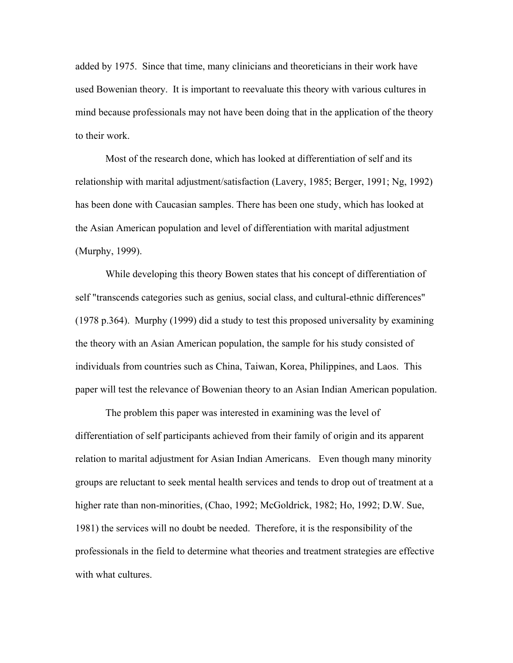added by 1975. Since that time, many clinicians and theoreticians in their work have used Bowenian theory. It is important to reevaluate this theory with various cultures in mind because professionals may not have been doing that in the application of the theory to their work.

 Most of the research done, which has looked at differentiation of self and its relationship with marital adjustment/satisfaction (Lavery, 1985; Berger, 1991; Ng, 1992) has been done with Caucasian samples. There has been one study, which has looked at the Asian American population and level of differentiation with marital adjustment (Murphy, 1999).

 While developing this theory Bowen states that his concept of differentiation of self "transcends categories such as genius, social class, and cultural-ethnic differences" (1978 p.364). Murphy (1999) did a study to test this proposed universality by examining the theory with an Asian American population, the sample for his study consisted of individuals from countries such as China, Taiwan, Korea, Philippines, and Laos. This paper will test the relevance of Bowenian theory to an Asian Indian American population.

 The problem this paper was interested in examining was the level of differentiation of self participants achieved from their family of origin and its apparent relation to marital adjustment for Asian Indian Americans. Even though many minority groups are reluctant to seek mental health services and tends to drop out of treatment at a higher rate than non-minorities, (Chao, 1992; McGoldrick, 1982; Ho, 1992; D.W. Sue, 1981) the services will no doubt be needed. Therefore, it is the responsibility of the professionals in the field to determine what theories and treatment strategies are effective with what cultures.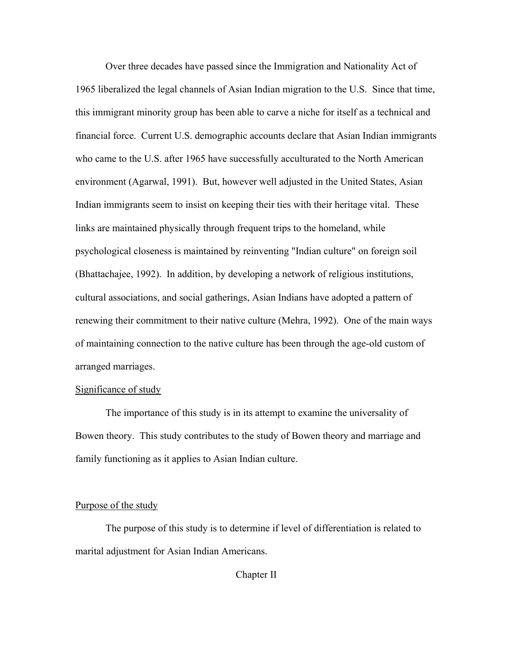Over three decades have passed since the Immigration and Nationality Act of 1965 liberalized the legal channels of Asian Indian migration to the U.S. Since that time, this immigrant minority group has been able to carve a niche for itself as a technical and financial force. Current U.S. demographic accounts declare that Asian Indian immigrants who came to the U.S. after 1965 have successfully acculturated to the North American environment (Agarwal, 1991). But, however well adjusted in the United States, Asian Indian immigrants seem to insist on keeping their ties with their heritage vital. These links are maintained physically through frequent trips to the homeland, while psychological closeness is maintained by reinventing "Indian culture" on foreign soil (Bhattachajee, 1992). In addition, by developing a network of religious institutions, cultural associations, and social gatherings, Asian Indians have adopted a pattern of renewing their commitment to their native culture (Mehra, 1992). One of the main ways of maintaining connection to the native culture has been through the age-old custom of arranged marriages.

### Significance of study

 The importance of this study is in its attempt to examine the universality of Bowen theory. This study contributes to the study of Bowen theory and marriage and family functioning as it applies to Asian Indian culture.

### Purpose of the study

 The purpose of this study is to determine if level of differentiation is related to marital adjustment for Asian Indian Americans.

Chapter II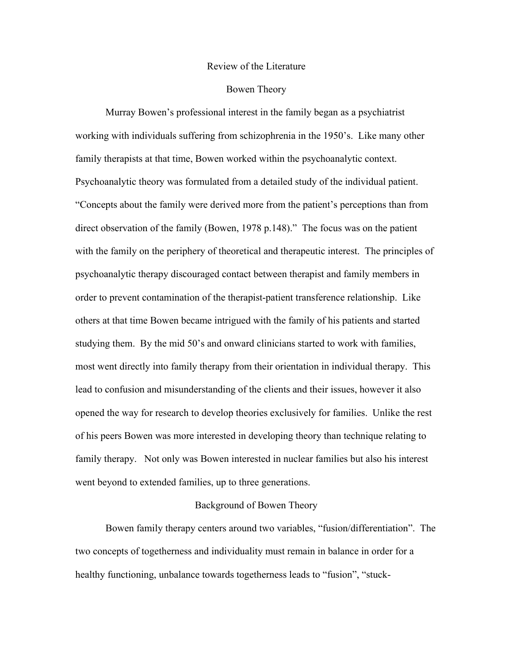#### Review of the Literature

### Bowen Theory

Murray Bowen's professional interest in the family began as a psychiatrist working with individuals suffering from schizophrenia in the 1950's. Like many other family therapists at that time, Bowen worked within the psychoanalytic context. Psychoanalytic theory was formulated from a detailed study of the individual patient. "Concepts about the family were derived more from the patient's perceptions than from direct observation of the family (Bowen, 1978 p.148)." The focus was on the patient with the family on the periphery of theoretical and therapeutic interest. The principles of psychoanalytic therapy discouraged contact between therapist and family members in order to prevent contamination of the therapist-patient transference relationship. Like others at that time Bowen became intrigued with the family of his patients and started studying them. By the mid 50's and onward clinicians started to work with families, most went directly into family therapy from their orientation in individual therapy. This lead to confusion and misunderstanding of the clients and their issues, however it also opened the way for research to develop theories exclusively for families. Unlike the rest of his peers Bowen was more interested in developing theory than technique relating to family therapy. Not only was Bowen interested in nuclear families but also his interest went beyond to extended families, up to three generations.

### Background of Bowen Theory

Bowen family therapy centers around two variables, "fusion/differentiation". The two concepts of togetherness and individuality must remain in balance in order for a healthy functioning, unbalance towards togetherness leads to "fusion", "stuck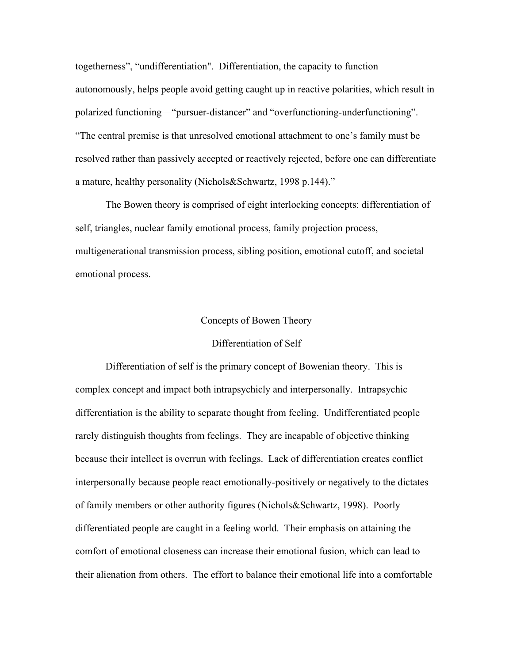togetherness", "undifferentiation". Differentiation, the capacity to function autonomously, helps people avoid getting caught up in reactive polarities, which result in polarized functioning—"pursuer-distancer" and "overfunctioning-underfunctioning". "The central premise is that unresolved emotional attachment to one's family must be resolved rather than passively accepted or reactively rejected, before one can differentiate a mature, healthy personality (Nichols&Schwartz, 1998 p.144)."

 The Bowen theory is comprised of eight interlocking concepts: differentiation of self, triangles, nuclear family emotional process, family projection process, multigenerational transmission process, sibling position, emotional cutoff, and societal emotional process.

#### Concepts of Bowen Theory

#### Differentiation of Self

 Differentiation of self is the primary concept of Bowenian theory. This is complex concept and impact both intrapsychicly and interpersonally. Intrapsychic differentiation is the ability to separate thought from feeling. Undifferentiated people rarely distinguish thoughts from feelings. They are incapable of objective thinking because their intellect is overrun with feelings. Lack of differentiation creates conflict interpersonally because people react emotionally-positively or negatively to the dictates of family members or other authority figures (Nichols&Schwartz, 1998). Poorly differentiated people are caught in a feeling world. Their emphasis on attaining the comfort of emotional closeness can increase their emotional fusion, which can lead to their alienation from others. The effort to balance their emotional life into a comfortable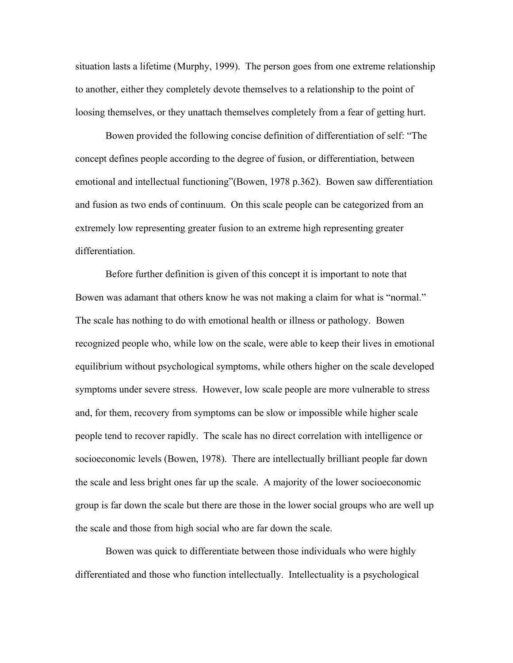situation lasts a lifetime (Murphy, 1999). The person goes from one extreme relationship to another, either they completely devote themselves to a relationship to the point of loosing themselves, or they unattach themselves completely from a fear of getting hurt.

Bowen provided the following concise definition of differentiation of self: "The concept defines people according to the degree of fusion, or differentiation, between emotional and intellectual functioning"(Bowen, 1978 p.362). Bowen saw differentiation and fusion as two ends of continuum. On this scale people can be categorized from an extremely low representing greater fusion to an extreme high representing greater differentiation.

Before further definition is given of this concept it is important to note that Bowen was adamant that others know he was not making a claim for what is "normal." The scale has nothing to do with emotional health or illness or pathology. Bowen recognized people who, while low on the scale, were able to keep their lives in emotional equilibrium without psychological symptoms, while others higher on the scale developed symptoms under severe stress. However, low scale people are more vulnerable to stress and, for them, recovery from symptoms can be slow or impossible while higher scale people tend to recover rapidly. The scale has no direct correlation with intelligence or socioeconomic levels (Bowen, 1978). There are intellectually brilliant people far down the scale and less bright ones far up the scale. A majority of the lower socioeconomic group is far down the scale but there are those in the lower social groups who are well up the scale and those from high social who are far down the scale.

Bowen was quick to differentiate between those individuals who were highly differentiated and those who function intellectually. Intellectuality is a psychological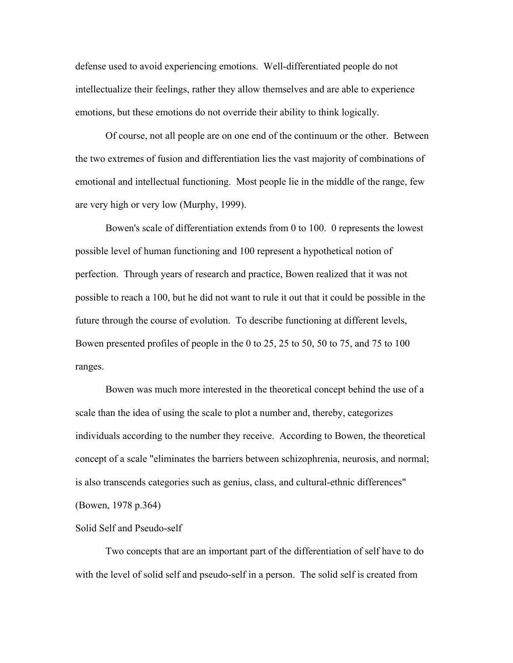defense used to avoid experiencing emotions. Well-differentiated people do not intellectualize their feelings, rather they allow themselves and are able to experience emotions, but these emotions do not override their ability to think logically.

Of course, not all people are on one end of the continuum or the other. Between the two extremes of fusion and differentiation lies the vast majority of combinations of emotional and intellectual functioning. Most people lie in the middle of the range, few are very high or very low (Murphy, 1999).

Bowen's scale of differentiation extends from 0 to 100. 0 represents the lowest possible level of human functioning and 100 represent a hypothetical notion of perfection. Through years of research and practice, Bowen realized that it was not possible to reach a 100, but he did not want to rule it out that it could be possible in the future through the course of evolution. To describe functioning at different levels, Bowen presented profiles of people in the 0 to 25, 25 to 50, 50 to 75, and 75 to 100 ranges.

Bowen was much more interested in the theoretical concept behind the use of a scale than the idea of using the scale to plot a number and, thereby, categorizes individuals according to the number they receive. According to Bowen, the theoretical concept of a scale "eliminates the barriers between schizophrenia, neurosis, and normal; is also transcends categories such as genius, class, and cultural-ethnic differences" (Bowen, 1978 p.364)

#### Solid Self and Pseudo-self

 Two concepts that are an important part of the differentiation of self have to do with the level of solid self and pseudo-self in a person. The solid self is created from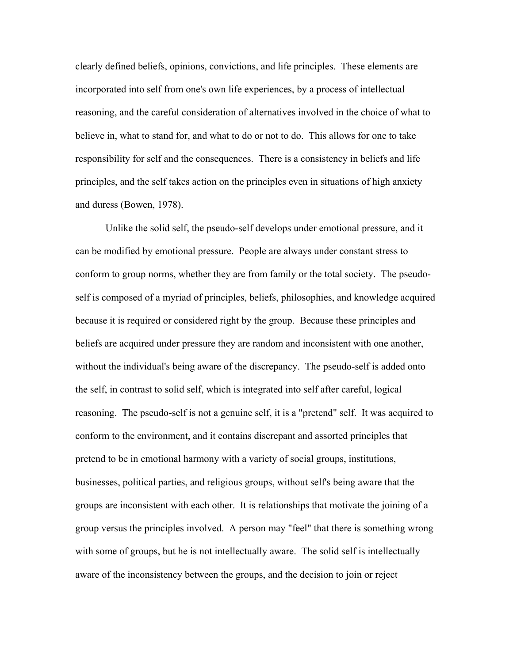clearly defined beliefs, opinions, convictions, and life principles. These elements are incorporated into self from one's own life experiences, by a process of intellectual reasoning, and the careful consideration of alternatives involved in the choice of what to believe in, what to stand for, and what to do or not to do. This allows for one to take responsibility for self and the consequences. There is a consistency in beliefs and life principles, and the self takes action on the principles even in situations of high anxiety and duress (Bowen, 1978).

 Unlike the solid self, the pseudo-self develops under emotional pressure, and it can be modified by emotional pressure. People are always under constant stress to conform to group norms, whether they are from family or the total society. The pseudoself is composed of a myriad of principles, beliefs, philosophies, and knowledge acquired because it is required or considered right by the group. Because these principles and beliefs are acquired under pressure they are random and inconsistent with one another, without the individual's being aware of the discrepancy. The pseudo-self is added onto the self, in contrast to solid self, which is integrated into self after careful, logical reasoning. The pseudo-self is not a genuine self, it is a "pretend" self. It was acquired to conform to the environment, and it contains discrepant and assorted principles that pretend to be in emotional harmony with a variety of social groups, institutions, businesses, political parties, and religious groups, without self's being aware that the groups are inconsistent with each other. It is relationships that motivate the joining of a group versus the principles involved. A person may "feel" that there is something wrong with some of groups, but he is not intellectually aware. The solid self is intellectually aware of the inconsistency between the groups, and the decision to join or reject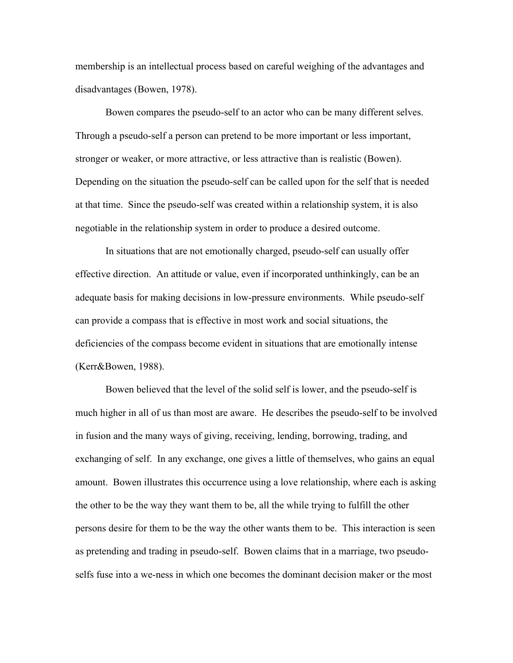membership is an intellectual process based on careful weighing of the advantages and disadvantages (Bowen, 1978).

 Bowen compares the pseudo-self to an actor who can be many different selves. Through a pseudo-self a person can pretend to be more important or less important, stronger or weaker, or more attractive, or less attractive than is realistic (Bowen). Depending on the situation the pseudo-self can be called upon for the self that is needed at that time. Since the pseudo-self was created within a relationship system, it is also negotiable in the relationship system in order to produce a desired outcome.

 In situations that are not emotionally charged, pseudo-self can usually offer effective direction. An attitude or value, even if incorporated unthinkingly, can be an adequate basis for making decisions in low-pressure environments. While pseudo-self can provide a compass that is effective in most work and social situations, the deficiencies of the compass become evident in situations that are emotionally intense (Kerr&Bowen, 1988).

 Bowen believed that the level of the solid self is lower, and the pseudo-self is much higher in all of us than most are aware. He describes the pseudo-self to be involved in fusion and the many ways of giving, receiving, lending, borrowing, trading, and exchanging of self. In any exchange, one gives a little of themselves, who gains an equal amount. Bowen illustrates this occurrence using a love relationship, where each is asking the other to be the way they want them to be, all the while trying to fulfill the other persons desire for them to be the way the other wants them to be. This interaction is seen as pretending and trading in pseudo-self. Bowen claims that in a marriage, two pseudoselfs fuse into a we-ness in which one becomes the dominant decision maker or the most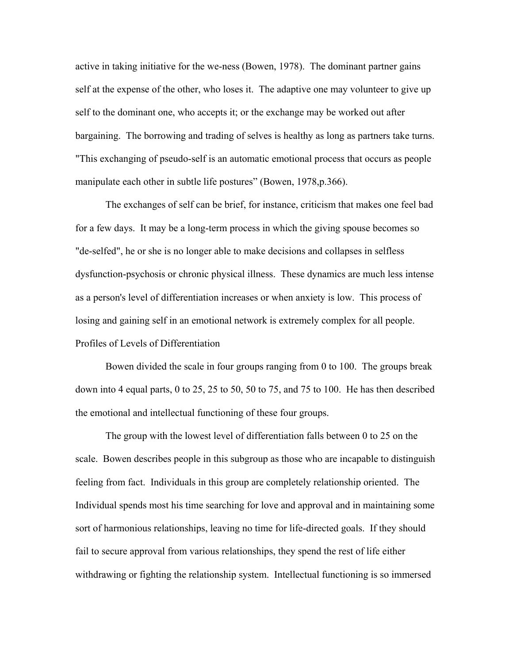active in taking initiative for the we-ness (Bowen, 1978). The dominant partner gains self at the expense of the other, who loses it. The adaptive one may volunteer to give up self to the dominant one, who accepts it; or the exchange may be worked out after bargaining. The borrowing and trading of selves is healthy as long as partners take turns. "This exchanging of pseudo-self is an automatic emotional process that occurs as people manipulate each other in subtle life postures" (Bowen, 1978, p. 366).

 The exchanges of self can be brief, for instance, criticism that makes one feel bad for a few days. It may be a long-term process in which the giving spouse becomes so "de-selfed", he or she is no longer able to make decisions and collapses in selfless dysfunction-psychosis or chronic physical illness. These dynamics are much less intense as a person's level of differentiation increases or when anxiety is low. This process of losing and gaining self in an emotional network is extremely complex for all people. Profiles of Levels of Differentiation

 Bowen divided the scale in four groups ranging from 0 to 100. The groups break down into 4 equal parts, 0 to 25, 25 to 50, 50 to 75, and 75 to 100. He has then described the emotional and intellectual functioning of these four groups.

The group with the lowest level of differentiation falls between 0 to 25 on the scale. Bowen describes people in this subgroup as those who are incapable to distinguish feeling from fact. Individuals in this group are completely relationship oriented. The Individual spends most his time searching for love and approval and in maintaining some sort of harmonious relationships, leaving no time for life-directed goals. If they should fail to secure approval from various relationships, they spend the rest of life either withdrawing or fighting the relationship system. Intellectual functioning is so immersed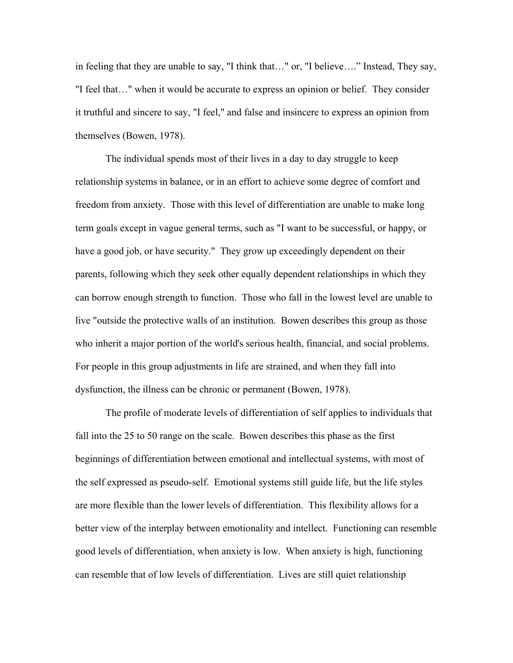in feeling that they are unable to say, "I think that…" or, "I believe…." Instead, They say, "I feel that…" when it would be accurate to express an opinion or belief. They consider it truthful and sincere to say, "I feel," and false and insincere to express an opinion from themselves (Bowen, 1978).

The individual spends most of their lives in a day to day struggle to keep relationship systems in balance, or in an effort to achieve some degree of comfort and freedom from anxiety. Those with this level of differentiation are unable to make long term goals except in vague general terms, such as "I want to be successful, or happy, or have a good job, or have security." They grow up exceedingly dependent on their parents, following which they seek other equally dependent relationships in which they can borrow enough strength to function. Those who fall in the lowest level are unable to live "outside the protective walls of an institution. Bowen describes this group as those who inherit a major portion of the world's serious health, financial, and social problems. For people in this group adjustments in life are strained, and when they fall into dysfunction, the illness can be chronic or permanent (Bowen, 1978).

 The profile of moderate levels of differentiation of self applies to individuals that fall into the 25 to 50 range on the scale. Bowen describes this phase as the first beginnings of differentiation between emotional and intellectual systems, with most of the self expressed as pseudo-self. Emotional systems still guide life, but the life styles are more flexible than the lower levels of differentiation. This flexibility allows for a better view of the interplay between emotionality and intellect. Functioning can resemble good levels of differentiation, when anxiety is low. When anxiety is high, functioning can resemble that of low levels of differentiation. Lives are still quiet relationship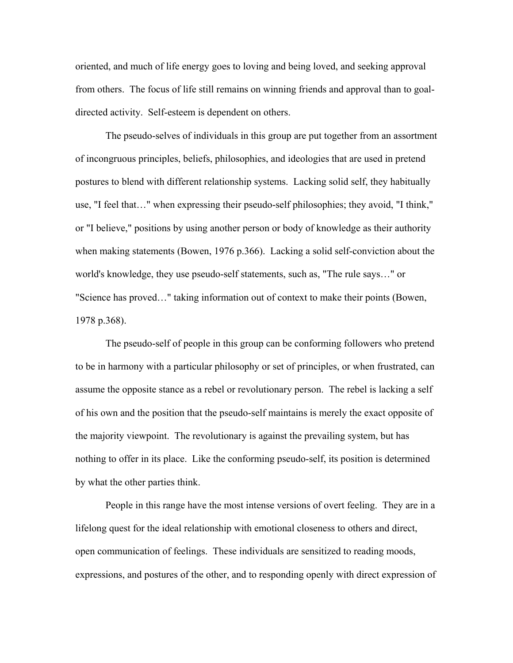oriented, and much of life energy goes to loving and being loved, and seeking approval from others. The focus of life still remains on winning friends and approval than to goaldirected activity. Self-esteem is dependent on others.

 The pseudo-selves of individuals in this group are put together from an assortment of incongruous principles, beliefs, philosophies, and ideologies that are used in pretend postures to blend with different relationship systems. Lacking solid self, they habitually use, "I feel that…" when expressing their pseudo-self philosophies; they avoid, "I think," or "I believe," positions by using another person or body of knowledge as their authority when making statements (Bowen, 1976 p.366). Lacking a solid self-conviction about the world's knowledge, they use pseudo-self statements, such as, "The rule says…" or "Science has proved…" taking information out of context to make their points (Bowen, 1978 p.368).

 The pseudo-self of people in this group can be conforming followers who pretend to be in harmony with a particular philosophy or set of principles, or when frustrated, can assume the opposite stance as a rebel or revolutionary person. The rebel is lacking a self of his own and the position that the pseudo-self maintains is merely the exact opposite of the majority viewpoint. The revolutionary is against the prevailing system, but has nothing to offer in its place. Like the conforming pseudo-self, its position is determined by what the other parties think.

 People in this range have the most intense versions of overt feeling. They are in a lifelong quest for the ideal relationship with emotional closeness to others and direct, open communication of feelings. These individuals are sensitized to reading moods, expressions, and postures of the other, and to responding openly with direct expression of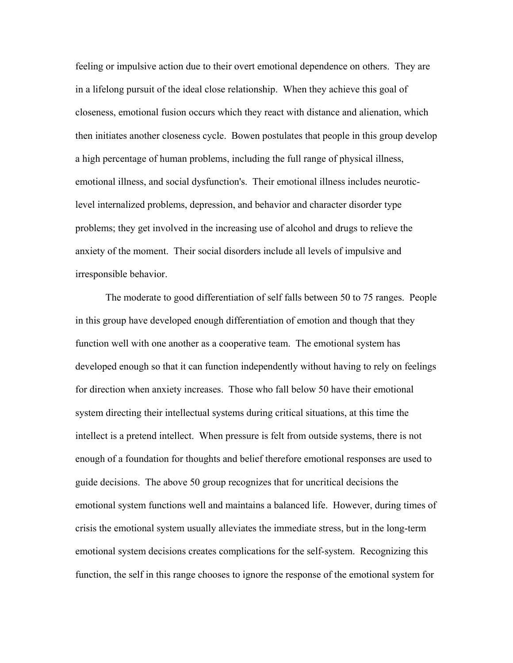feeling or impulsive action due to their overt emotional dependence on others. They are in a lifelong pursuit of the ideal close relationship. When they achieve this goal of closeness, emotional fusion occurs which they react with distance and alienation, which then initiates another closeness cycle. Bowen postulates that people in this group develop a high percentage of human problems, including the full range of physical illness, emotional illness, and social dysfunction's. Their emotional illness includes neuroticlevel internalized problems, depression, and behavior and character disorder type problems; they get involved in the increasing use of alcohol and drugs to relieve the anxiety of the moment. Their social disorders include all levels of impulsive and irresponsible behavior.

 The moderate to good differentiation of self falls between 50 to 75 ranges. People in this group have developed enough differentiation of emotion and though that they function well with one another as a cooperative team. The emotional system has developed enough so that it can function independently without having to rely on feelings for direction when anxiety increases. Those who fall below 50 have their emotional system directing their intellectual systems during critical situations, at this time the intellect is a pretend intellect. When pressure is felt from outside systems, there is not enough of a foundation for thoughts and belief therefore emotional responses are used to guide decisions. The above 50 group recognizes that for uncritical decisions the emotional system functions well and maintains a balanced life. However, during times of crisis the emotional system usually alleviates the immediate stress, but in the long-term emotional system decisions creates complications for the self-system. Recognizing this function, the self in this range chooses to ignore the response of the emotional system for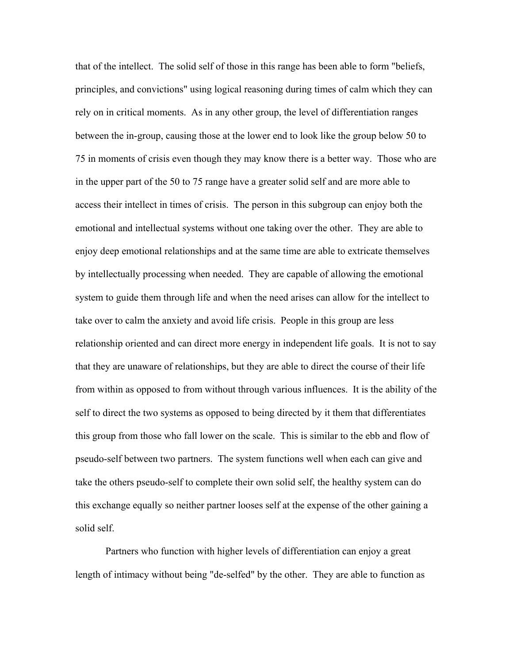that of the intellect. The solid self of those in this range has been able to form "beliefs, principles, and convictions" using logical reasoning during times of calm which they can rely on in critical moments. As in any other group, the level of differentiation ranges between the in-group, causing those at the lower end to look like the group below 50 to 75 in moments of crisis even though they may know there is a better way. Those who are in the upper part of the 50 to 75 range have a greater solid self and are more able to access their intellect in times of crisis. The person in this subgroup can enjoy both the emotional and intellectual systems without one taking over the other. They are able to enjoy deep emotional relationships and at the same time are able to extricate themselves by intellectually processing when needed. They are capable of allowing the emotional system to guide them through life and when the need arises can allow for the intellect to take over to calm the anxiety and avoid life crisis. People in this group are less relationship oriented and can direct more energy in independent life goals. It is not to say that they are unaware of relationships, but they are able to direct the course of their life from within as opposed to from without through various influences. It is the ability of the self to direct the two systems as opposed to being directed by it them that differentiates this group from those who fall lower on the scale. This is similar to the ebb and flow of pseudo-self between two partners. The system functions well when each can give and take the others pseudo-self to complete their own solid self, the healthy system can do this exchange equally so neither partner looses self at the expense of the other gaining a solid self.

 Partners who function with higher levels of differentiation can enjoy a great length of intimacy without being "de-selfed" by the other. They are able to function as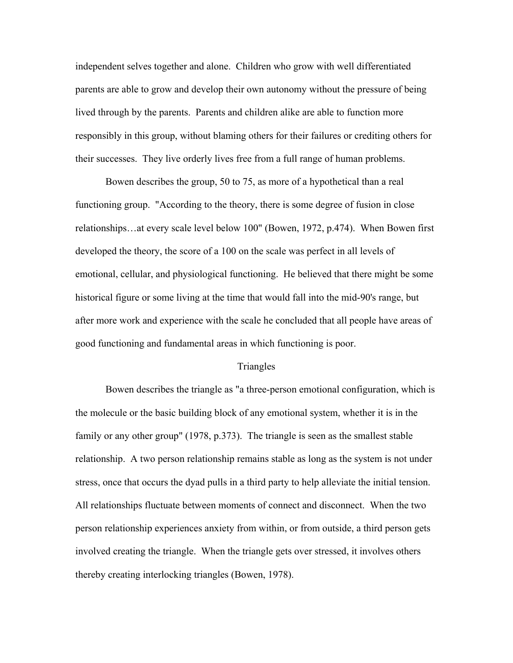independent selves together and alone. Children who grow with well differentiated parents are able to grow and develop their own autonomy without the pressure of being lived through by the parents. Parents and children alike are able to function more responsibly in this group, without blaming others for their failures or crediting others for their successes. They live orderly lives free from a full range of human problems.

 Bowen describes the group, 50 to 75, as more of a hypothetical than a real functioning group. "According to the theory, there is some degree of fusion in close relationships…at every scale level below 100" (Bowen, 1972, p.474). When Bowen first developed the theory, the score of a 100 on the scale was perfect in all levels of emotional, cellular, and physiological functioning. He believed that there might be some historical figure or some living at the time that would fall into the mid-90's range, but after more work and experience with the scale he concluded that all people have areas of good functioning and fundamental areas in which functioning is poor.

#### Triangles

 Bowen describes the triangle as "a three-person emotional configuration, which is the molecule or the basic building block of any emotional system, whether it is in the family or any other group" (1978, p.373). The triangle is seen as the smallest stable relationship. A two person relationship remains stable as long as the system is not under stress, once that occurs the dyad pulls in a third party to help alleviate the initial tension. All relationships fluctuate between moments of connect and disconnect. When the two person relationship experiences anxiety from within, or from outside, a third person gets involved creating the triangle. When the triangle gets over stressed, it involves others thereby creating interlocking triangles (Bowen, 1978).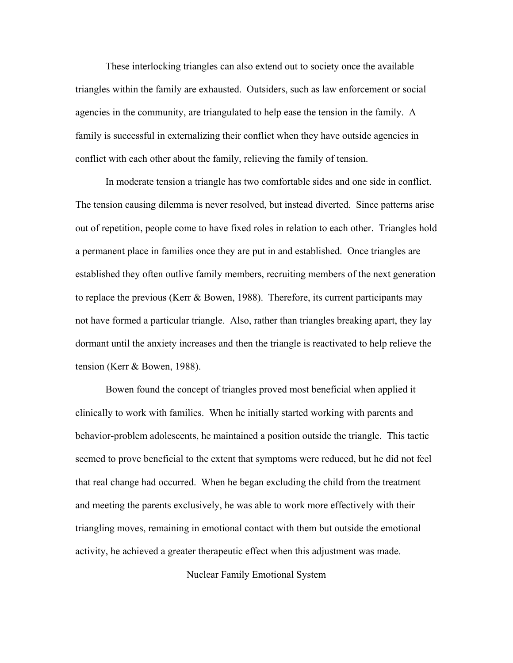These interlocking triangles can also extend out to society once the available triangles within the family are exhausted. Outsiders, such as law enforcement or social agencies in the community, are triangulated to help ease the tension in the family. A family is successful in externalizing their conflict when they have outside agencies in conflict with each other about the family, relieving the family of tension.

 In moderate tension a triangle has two comfortable sides and one side in conflict. The tension causing dilemma is never resolved, but instead diverted. Since patterns arise out of repetition, people come to have fixed roles in relation to each other. Triangles hold a permanent place in families once they are put in and established. Once triangles are established they often outlive family members, recruiting members of the next generation to replace the previous (Kerr & Bowen, 1988). Therefore, its current participants may not have formed a particular triangle. Also, rather than triangles breaking apart, they lay dormant until the anxiety increases and then the triangle is reactivated to help relieve the tension (Kerr & Bowen, 1988).

 Bowen found the concept of triangles proved most beneficial when applied it clinically to work with families. When he initially started working with parents and behavior-problem adolescents, he maintained a position outside the triangle. This tactic seemed to prove beneficial to the extent that symptoms were reduced, but he did not feel that real change had occurred. When he began excluding the child from the treatment and meeting the parents exclusively, he was able to work more effectively with their triangling moves, remaining in emotional contact with them but outside the emotional activity, he achieved a greater therapeutic effect when this adjustment was made.

Nuclear Family Emotional System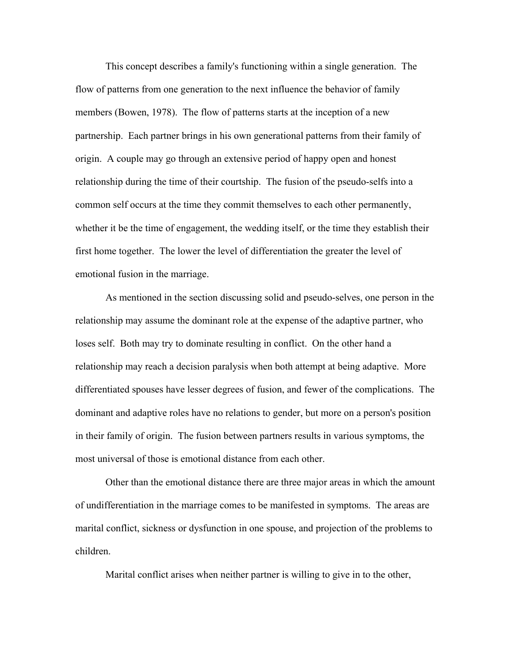This concept describes a family's functioning within a single generation. The flow of patterns from one generation to the next influence the behavior of family members (Bowen, 1978). The flow of patterns starts at the inception of a new partnership. Each partner brings in his own generational patterns from their family of origin. A couple may go through an extensive period of happy open and honest relationship during the time of their courtship. The fusion of the pseudo-selfs into a common self occurs at the time they commit themselves to each other permanently, whether it be the time of engagement, the wedding itself, or the time they establish their first home together. The lower the level of differentiation the greater the level of emotional fusion in the marriage.

 As mentioned in the section discussing solid and pseudo-selves, one person in the relationship may assume the dominant role at the expense of the adaptive partner, who loses self. Both may try to dominate resulting in conflict. On the other hand a relationship may reach a decision paralysis when both attempt at being adaptive. More differentiated spouses have lesser degrees of fusion, and fewer of the complications. The dominant and adaptive roles have no relations to gender, but more on a person's position in their family of origin. The fusion between partners results in various symptoms, the most universal of those is emotional distance from each other.

 Other than the emotional distance there are three major areas in which the amount of undifferentiation in the marriage comes to be manifested in symptoms. The areas are marital conflict, sickness or dysfunction in one spouse, and projection of the problems to children.

Marital conflict arises when neither partner is willing to give in to the other,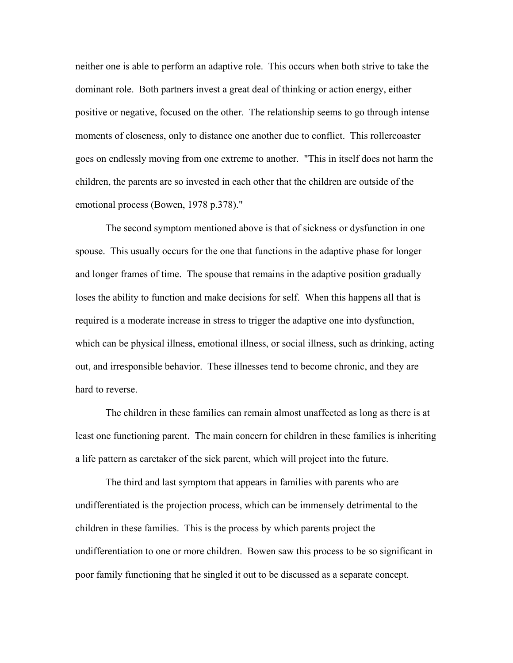neither one is able to perform an adaptive role. This occurs when both strive to take the dominant role. Both partners invest a great deal of thinking or action energy, either positive or negative, focused on the other. The relationship seems to go through intense moments of closeness, only to distance one another due to conflict. This rollercoaster goes on endlessly moving from one extreme to another. "This in itself does not harm the children, the parents are so invested in each other that the children are outside of the emotional process (Bowen, 1978 p.378)."

 The second symptom mentioned above is that of sickness or dysfunction in one spouse. This usually occurs for the one that functions in the adaptive phase for longer and longer frames of time. The spouse that remains in the adaptive position gradually loses the ability to function and make decisions for self. When this happens all that is required is a moderate increase in stress to trigger the adaptive one into dysfunction, which can be physical illness, emotional illness, or social illness, such as drinking, acting out, and irresponsible behavior. These illnesses tend to become chronic, and they are hard to reverse.

 The children in these families can remain almost unaffected as long as there is at least one functioning parent. The main concern for children in these families is inheriting a life pattern as caretaker of the sick parent, which will project into the future.

 The third and last symptom that appears in families with parents who are undifferentiated is the projection process, which can be immensely detrimental to the children in these families. This is the process by which parents project the undifferentiation to one or more children. Bowen saw this process to be so significant in poor family functioning that he singled it out to be discussed as a separate concept.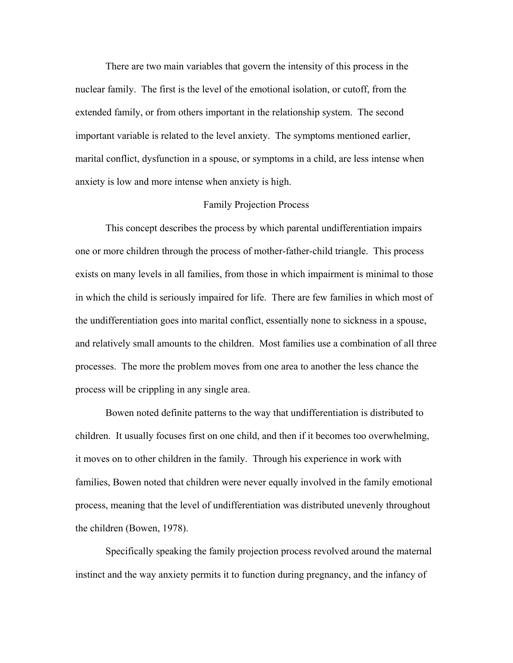There are two main variables that govern the intensity of this process in the nuclear family. The first is the level of the emotional isolation, or cutoff, from the extended family, or from others important in the relationship system. The second important variable is related to the level anxiety. The symptoms mentioned earlier, marital conflict, dysfunction in a spouse, or symptoms in a child, are less intense when anxiety is low and more intense when anxiety is high.

### Family Projection Process

 This concept describes the process by which parental undifferentiation impairs one or more children through the process of mother-father-child triangle. This process exists on many levels in all families, from those in which impairment is minimal to those in which the child is seriously impaired for life. There are few families in which most of the undifferentiation goes into marital conflict, essentially none to sickness in a spouse, and relatively small amounts to the children. Most families use a combination of all three processes. The more the problem moves from one area to another the less chance the process will be crippling in any single area.

 Bowen noted definite patterns to the way that undifferentiation is distributed to children. It usually focuses first on one child, and then if it becomes too overwhelming, it moves on to other children in the family. Through his experience in work with families, Bowen noted that children were never equally involved in the family emotional process, meaning that the level of undifferentiation was distributed unevenly throughout the children (Bowen, 1978).

 Specifically speaking the family projection process revolved around the maternal instinct and the way anxiety permits it to function during pregnancy, and the infancy of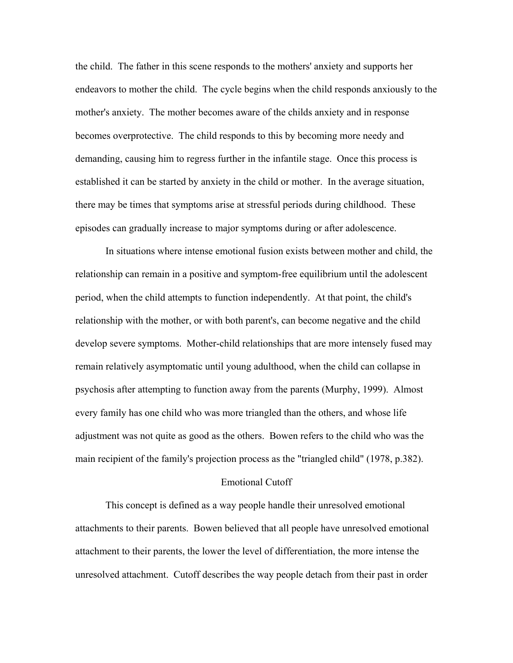the child. The father in this scene responds to the mothers' anxiety and supports her endeavors to mother the child. The cycle begins when the child responds anxiously to the mother's anxiety. The mother becomes aware of the childs anxiety and in response becomes overprotective. The child responds to this by becoming more needy and demanding, causing him to regress further in the infantile stage. Once this process is established it can be started by anxiety in the child or mother. In the average situation, there may be times that symptoms arise at stressful periods during childhood. These episodes can gradually increase to major symptoms during or after adolescence.

 In situations where intense emotional fusion exists between mother and child, the relationship can remain in a positive and symptom-free equilibrium until the adolescent period, when the child attempts to function independently. At that point, the child's relationship with the mother, or with both parent's, can become negative and the child develop severe symptoms. Mother-child relationships that are more intensely fused may remain relatively asymptomatic until young adulthood, when the child can collapse in psychosis after attempting to function away from the parents (Murphy, 1999). Almost every family has one child who was more triangled than the others, and whose life adjustment was not quite as good as the others. Bowen refers to the child who was the main recipient of the family's projection process as the "triangled child" (1978, p.382).

### Emotional Cutoff

This concept is defined as a way people handle their unresolved emotional attachments to their parents. Bowen believed that all people have unresolved emotional attachment to their parents, the lower the level of differentiation, the more intense the unresolved attachment. Cutoff describes the way people detach from their past in order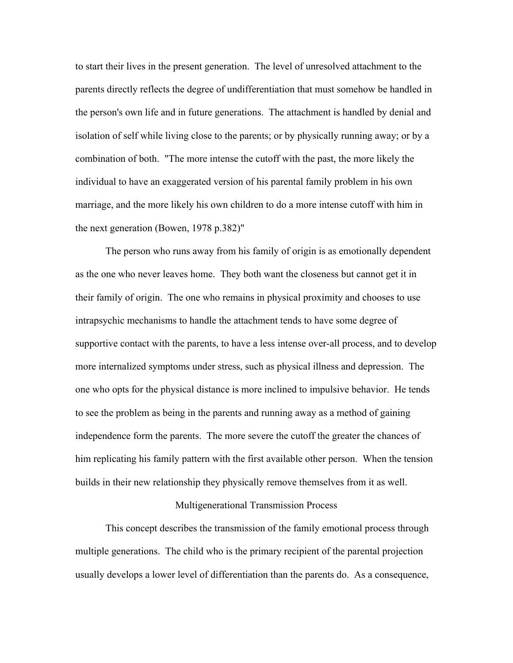to start their lives in the present generation. The level of unresolved attachment to the parents directly reflects the degree of undifferentiation that must somehow be handled in the person's own life and in future generations. The attachment is handled by denial and isolation of self while living close to the parents; or by physically running away; or by a combination of both. "The more intense the cutoff with the past, the more likely the individual to have an exaggerated version of his parental family problem in his own marriage, and the more likely his own children to do a more intense cutoff with him in the next generation (Bowen, 1978 p.382)"

The person who runs away from his family of origin is as emotionally dependent as the one who never leaves home. They both want the closeness but cannot get it in their family of origin. The one who remains in physical proximity and chooses to use intrapsychic mechanisms to handle the attachment tends to have some degree of supportive contact with the parents, to have a less intense over-all process, and to develop more internalized symptoms under stress, such as physical illness and depression. The one who opts for the physical distance is more inclined to impulsive behavior. He tends to see the problem as being in the parents and running away as a method of gaining independence form the parents. The more severe the cutoff the greater the chances of him replicating his family pattern with the first available other person. When the tension builds in their new relationship they physically remove themselves from it as well.

#### Multigenerational Transmission Process

 This concept describes the transmission of the family emotional process through multiple generations. The child who is the primary recipient of the parental projection usually develops a lower level of differentiation than the parents do. As a consequence,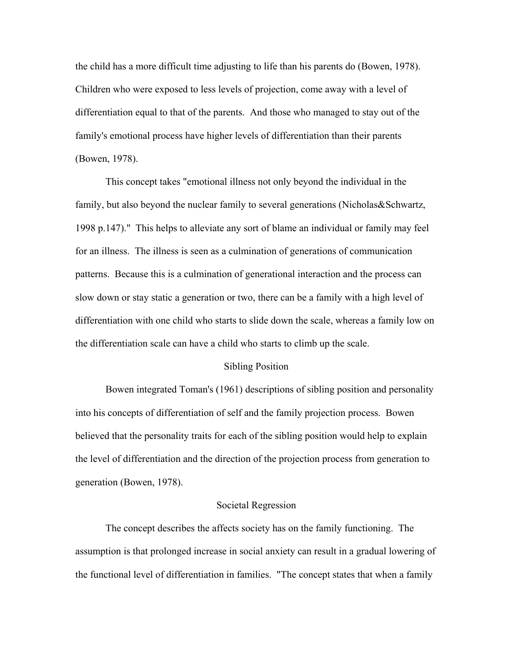the child has a more difficult time adjusting to life than his parents do (Bowen, 1978). Children who were exposed to less levels of projection, come away with a level of differentiation equal to that of the parents. And those who managed to stay out of the family's emotional process have higher levels of differentiation than their parents (Bowen, 1978).

 This concept takes "emotional illness not only beyond the individual in the family, but also beyond the nuclear family to several generations (Nicholas&Schwartz, 1998 p.147)." This helps to alleviate any sort of blame an individual or family may feel for an illness. The illness is seen as a culmination of generations of communication patterns. Because this is a culmination of generational interaction and the process can slow down or stay static a generation or two, there can be a family with a high level of differentiation with one child who starts to slide down the scale, whereas a family low on the differentiation scale can have a child who starts to climb up the scale.

#### Sibling Position

 Bowen integrated Toman's (1961) descriptions of sibling position and personality into his concepts of differentiation of self and the family projection process. Bowen believed that the personality traits for each of the sibling position would help to explain the level of differentiation and the direction of the projection process from generation to generation (Bowen, 1978).

#### Societal Regression

 The concept describes the affects society has on the family functioning. The assumption is that prolonged increase in social anxiety can result in a gradual lowering of the functional level of differentiation in families. "The concept states that when a family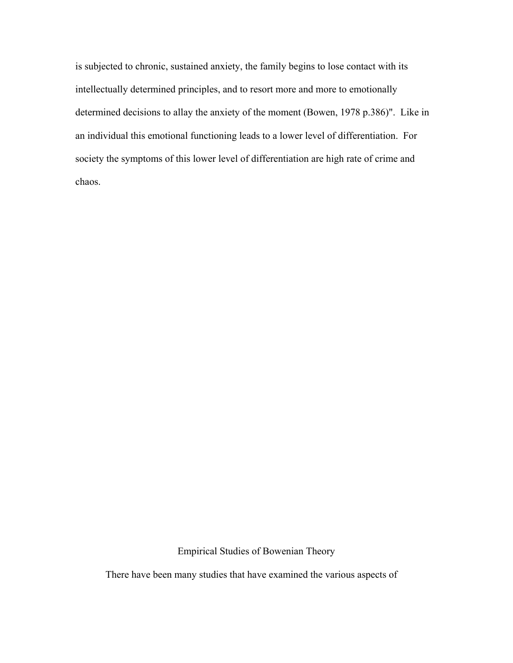is subjected to chronic, sustained anxiety, the family begins to lose contact with its intellectually determined principles, and to resort more and more to emotionally determined decisions to allay the anxiety of the moment (Bowen, 1978 p.386)". Like in an individual this emotional functioning leads to a lower level of differentiation. For society the symptoms of this lower level of differentiation are high rate of crime and chaos.

Empirical Studies of Bowenian Theory

There have been many studies that have examined the various aspects of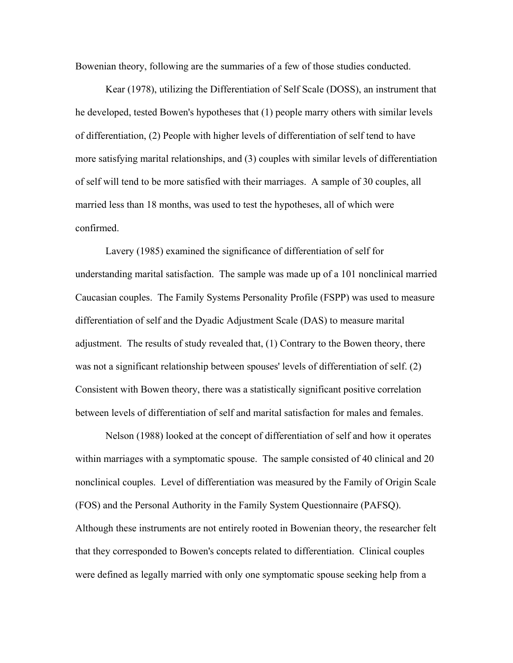Bowenian theory, following are the summaries of a few of those studies conducted.

 Kear (1978), utilizing the Differentiation of Self Scale (DOSS), an instrument that he developed, tested Bowen's hypotheses that (1) people marry others with similar levels of differentiation, (2) People with higher levels of differentiation of self tend to have more satisfying marital relationships, and (3) couples with similar levels of differentiation of self will tend to be more satisfied with their marriages. A sample of 30 couples, all married less than 18 months, was used to test the hypotheses, all of which were confirmed.

 Lavery (1985) examined the significance of differentiation of self for understanding marital satisfaction. The sample was made up of a 101 nonclinical married Caucasian couples. The Family Systems Personality Profile (FSPP) was used to measure differentiation of self and the Dyadic Adjustment Scale (DAS) to measure marital adjustment. The results of study revealed that, (1) Contrary to the Bowen theory, there was not a significant relationship between spouses' levels of differentiation of self. (2) Consistent with Bowen theory, there was a statistically significant positive correlation between levels of differentiation of self and marital satisfaction for males and females.

 Nelson (1988) looked at the concept of differentiation of self and how it operates within marriages with a symptomatic spouse. The sample consisted of 40 clinical and 20 nonclinical couples. Level of differentiation was measured by the Family of Origin Scale (FOS) and the Personal Authority in the Family System Questionnaire (PAFSQ). Although these instruments are not entirely rooted in Bowenian theory, the researcher felt that they corresponded to Bowen's concepts related to differentiation. Clinical couples were defined as legally married with only one symptomatic spouse seeking help from a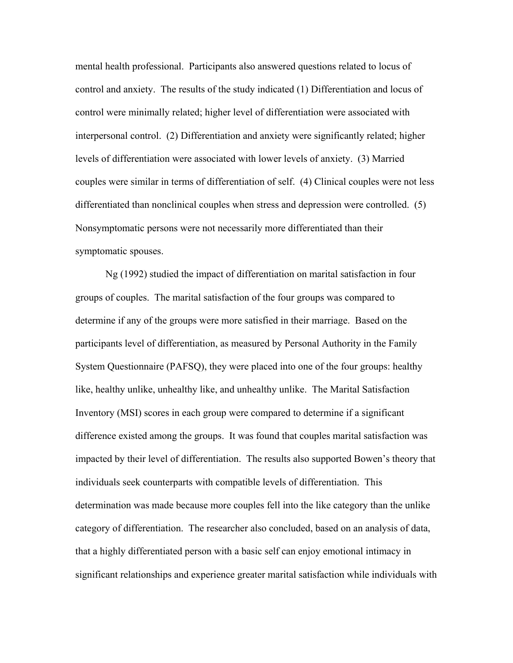mental health professional. Participants also answered questions related to locus of control and anxiety. The results of the study indicated (1) Differentiation and locus of control were minimally related; higher level of differentiation were associated with interpersonal control. (2) Differentiation and anxiety were significantly related; higher levels of differentiation were associated with lower levels of anxiety. (3) Married couples were similar in terms of differentiation of self. (4) Clinical couples were not less differentiated than nonclinical couples when stress and depression were controlled. (5) Nonsymptomatic persons were not necessarily more differentiated than their symptomatic spouses.

 Ng (1992) studied the impact of differentiation on marital satisfaction in four groups of couples. The marital satisfaction of the four groups was compared to determine if any of the groups were more satisfied in their marriage. Based on the participants level of differentiation, as measured by Personal Authority in the Family System Questionnaire (PAFSQ), they were placed into one of the four groups: healthy like, healthy unlike, unhealthy like, and unhealthy unlike. The Marital Satisfaction Inventory (MSI) scores in each group were compared to determine if a significant difference existed among the groups. It was found that couples marital satisfaction was impacted by their level of differentiation. The results also supported Bowen's theory that individuals seek counterparts with compatible levels of differentiation. This determination was made because more couples fell into the like category than the unlike category of differentiation. The researcher also concluded, based on an analysis of data, that a highly differentiated person with a basic self can enjoy emotional intimacy in significant relationships and experience greater marital satisfaction while individuals with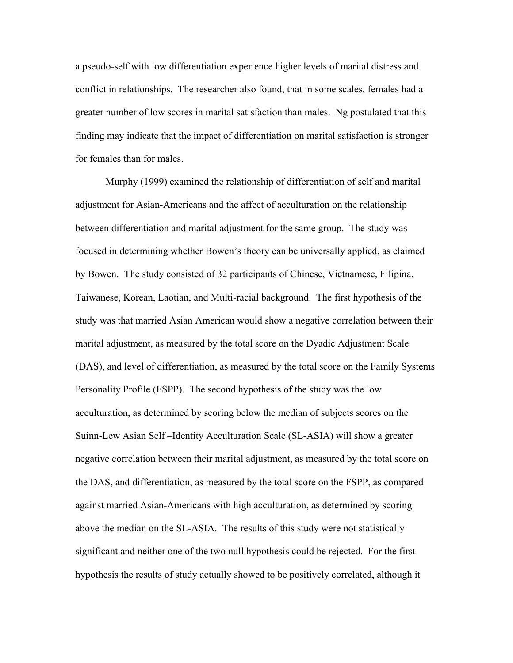a pseudo-self with low differentiation experience higher levels of marital distress and conflict in relationships. The researcher also found, that in some scales, females had a greater number of low scores in marital satisfaction than males. Ng postulated that this finding may indicate that the impact of differentiation on marital satisfaction is stronger for females than for males.

 Murphy (1999) examined the relationship of differentiation of self and marital adjustment for Asian-Americans and the affect of acculturation on the relationship between differentiation and marital adjustment for the same group. The study was focused in determining whether Bowen's theory can be universally applied, as claimed by Bowen. The study consisted of 32 participants of Chinese, Vietnamese, Filipina, Taiwanese, Korean, Laotian, and Multi-racial background. The first hypothesis of the study was that married Asian American would show a negative correlation between their marital adjustment, as measured by the total score on the Dyadic Adjustment Scale (DAS), and level of differentiation, as measured by the total score on the Family Systems Personality Profile (FSPP). The second hypothesis of the study was the low acculturation, as determined by scoring below the median of subjects scores on the Suinn-Lew Asian Self –Identity Acculturation Scale (SL-ASIA) will show a greater negative correlation between their marital adjustment, as measured by the total score on the DAS, and differentiation, as measured by the total score on the FSPP, as compared against married Asian-Americans with high acculturation, as determined by scoring above the median on the SL-ASIA. The results of this study were not statistically significant and neither one of the two null hypothesis could be rejected. For the first hypothesis the results of study actually showed to be positively correlated, although it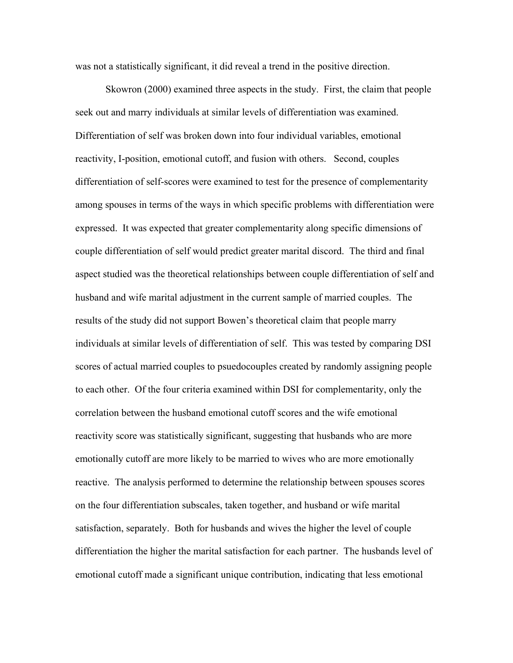was not a statistically significant, it did reveal a trend in the positive direction.

 Skowron (2000) examined three aspects in the study. First, the claim that people seek out and marry individuals at similar levels of differentiation was examined. Differentiation of self was broken down into four individual variables, emotional reactivity, I-position, emotional cutoff, and fusion with others. Second, couples differentiation of self-scores were examined to test for the presence of complementarity among spouses in terms of the ways in which specific problems with differentiation were expressed. It was expected that greater complementarity along specific dimensions of couple differentiation of self would predict greater marital discord. The third and final aspect studied was the theoretical relationships between couple differentiation of self and husband and wife marital adjustment in the current sample of married couples. The results of the study did not support Bowen's theoretical claim that people marry individuals at similar levels of differentiation of self. This was tested by comparing DSI scores of actual married couples to psuedocouples created by randomly assigning people to each other. Of the four criteria examined within DSI for complementarity, only the correlation between the husband emotional cutoff scores and the wife emotional reactivity score was statistically significant, suggesting that husbands who are more emotionally cutoff are more likely to be married to wives who are more emotionally reactive. The analysis performed to determine the relationship between spouses scores on the four differentiation subscales, taken together, and husband or wife marital satisfaction, separately. Both for husbands and wives the higher the level of couple differentiation the higher the marital satisfaction for each partner. The husbands level of emotional cutoff made a significant unique contribution, indicating that less emotional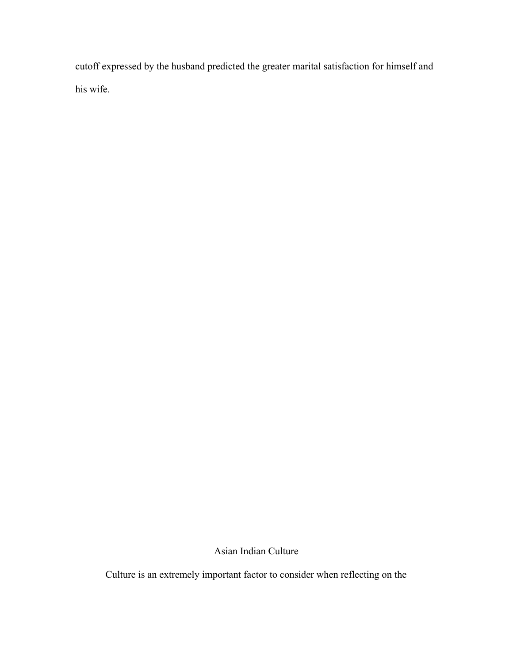cutoff expressed by the husband predicted the greater marital satisfaction for himself and his wife.

Asian Indian Culture

Culture is an extremely important factor to consider when reflecting on the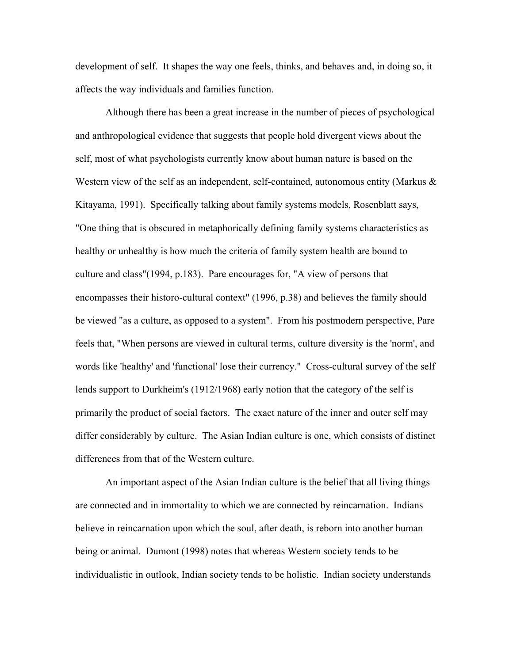development of self. It shapes the way one feels, thinks, and behaves and, in doing so, it affects the way individuals and families function.

Although there has been a great increase in the number of pieces of psychological and anthropological evidence that suggests that people hold divergent views about the self, most of what psychologists currently know about human nature is based on the Western view of the self as an independent, self-contained, autonomous entity (Markus  $\&$ Kitayama, 1991). Specifically talking about family systems models, Rosenblatt says, "One thing that is obscured in metaphorically defining family systems characteristics as healthy or unhealthy is how much the criteria of family system health are bound to culture and class"(1994, p.183). Pare encourages for, "A view of persons that encompasses their historo-cultural context" (1996, p.38) and believes the family should be viewed "as a culture, as opposed to a system". From his postmodern perspective, Pare feels that, "When persons are viewed in cultural terms, culture diversity is the 'norm', and words like 'healthy' and 'functional' lose their currency." Cross-cultural survey of the self lends support to Durkheim's (1912/1968) early notion that the category of the self is primarily the product of social factors. The exact nature of the inner and outer self may differ considerably by culture. The Asian Indian culture is one, which consists of distinct differences from that of the Western culture.

An important aspect of the Asian Indian culture is the belief that all living things are connected and in immortality to which we are connected by reincarnation. Indians believe in reincarnation upon which the soul, after death, is reborn into another human being or animal. Dumont (1998) notes that whereas Western society tends to be individualistic in outlook, Indian society tends to be holistic. Indian society understands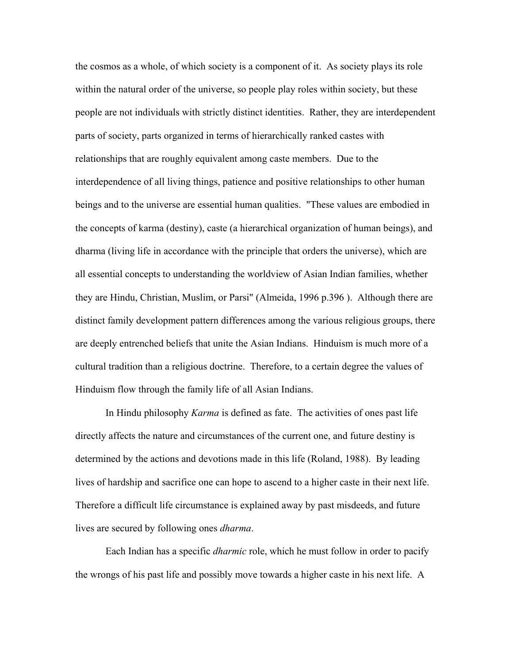the cosmos as a whole, of which society is a component of it. As society plays its role within the natural order of the universe, so people play roles within society, but these people are not individuals with strictly distinct identities. Rather, they are interdependent parts of society, parts organized in terms of hierarchically ranked castes with relationships that are roughly equivalent among caste members. Due to the interdependence of all living things, patience and positive relationships to other human beings and to the universe are essential human qualities. "These values are embodied in the concepts of karma (destiny), caste (a hierarchical organization of human beings), and dharma (living life in accordance with the principle that orders the universe), which are all essential concepts to understanding the worldview of Asian Indian families, whether they are Hindu, Christian, Muslim, or Parsi" (Almeida, 1996 p.396 ). Although there are distinct family development pattern differences among the various religious groups, there are deeply entrenched beliefs that unite the Asian Indians. Hinduism is much more of a cultural tradition than a religious doctrine. Therefore, to a certain degree the values of Hinduism flow through the family life of all Asian Indians.

In Hindu philosophy *Karma* is defined as fate. The activities of ones past life directly affects the nature and circumstances of the current one, and future destiny is determined by the actions and devotions made in this life (Roland, 1988). By leading lives of hardship and sacrifice one can hope to ascend to a higher caste in their next life. Therefore a difficult life circumstance is explained away by past misdeeds, and future lives are secured by following ones *dharma*.

Each Indian has a specific *dharmic* role, which he must follow in order to pacify the wrongs of his past life and possibly move towards a higher caste in his next life. A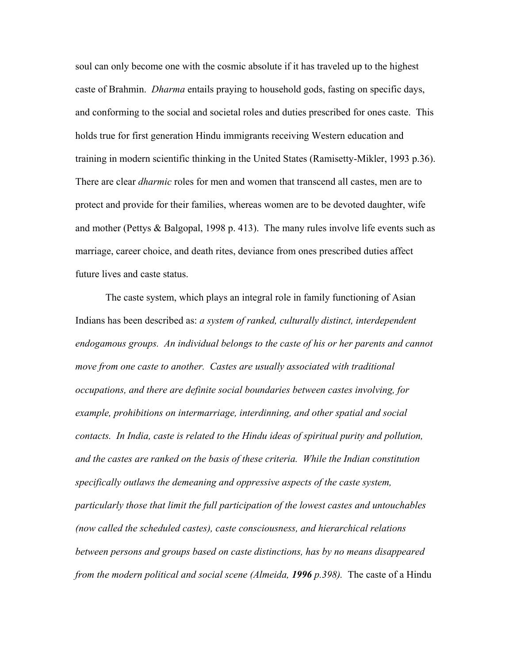soul can only become one with the cosmic absolute if it has traveled up to the highest caste of Brahmin. *Dharma* entails praying to household gods, fasting on specific days, and conforming to the social and societal roles and duties prescribed for ones caste. This holds true for first generation Hindu immigrants receiving Western education and training in modern scientific thinking in the United States (Ramisetty-Mikler, 1993 p.36). There are clear *dharmic* roles for men and women that transcend all castes, men are to protect and provide for their families, whereas women are to be devoted daughter, wife and mother (Pettys & Balgopal, 1998 p. 413). The many rules involve life events such as marriage, career choice, and death rites, deviance from ones prescribed duties affect future lives and caste status.

The caste system, which plays an integral role in family functioning of Asian Indians has been described as: *a system of ranked, culturally distinct, interdependent endogamous groups. An individual belongs to the caste of his or her parents and cannot move from one caste to another. Castes are usually associated with traditional occupations, and there are definite social boundaries between castes involving, for example, prohibitions on intermarriage, interdinning, and other spatial and social contacts. In India, caste is related to the Hindu ideas of spiritual purity and pollution, and the castes are ranked on the basis of these criteria. While the Indian constitution specifically outlaws the demeaning and oppressive aspects of the caste system, particularly those that limit the full participation of the lowest castes and untouchables (now called the scheduled castes), caste consciousness, and hierarchical relations between persons and groups based on caste distinctions, has by no means disappeared from the modern political and social scene (Almeida, 1996 p.398).* The caste of a Hindu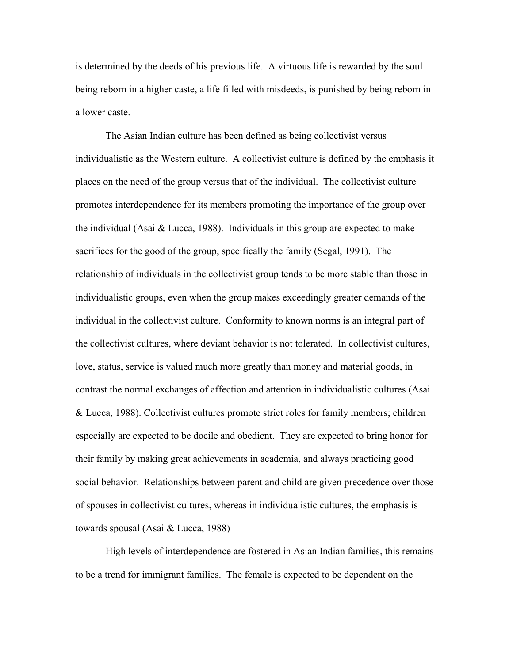is determined by the deeds of his previous life. A virtuous life is rewarded by the soul being reborn in a higher caste, a life filled with misdeeds, is punished by being reborn in a lower caste.

 The Asian Indian culture has been defined as being collectivist versus individualistic as the Western culture. A collectivist culture is defined by the emphasis it places on the need of the group versus that of the individual. The collectivist culture promotes interdependence for its members promoting the importance of the group over the individual (Asai  $& Lucasa$ , 1988). Individuals in this group are expected to make sacrifices for the good of the group, specifically the family (Segal, 1991). The relationship of individuals in the collectivist group tends to be more stable than those in individualistic groups, even when the group makes exceedingly greater demands of the individual in the collectivist culture. Conformity to known norms is an integral part of the collectivist cultures, where deviant behavior is not tolerated. In collectivist cultures, love, status, service is valued much more greatly than money and material goods, in contrast the normal exchanges of affection and attention in individualistic cultures (Asai & Lucca, 1988). Collectivist cultures promote strict roles for family members; children especially are expected to be docile and obedient. They are expected to bring honor for their family by making great achievements in academia, and always practicing good social behavior. Relationships between parent and child are given precedence over those of spouses in collectivist cultures, whereas in individualistic cultures, the emphasis is towards spousal (Asai & Lucca, 1988)

High levels of interdependence are fostered in Asian Indian families, this remains to be a trend for immigrant families. The female is expected to be dependent on the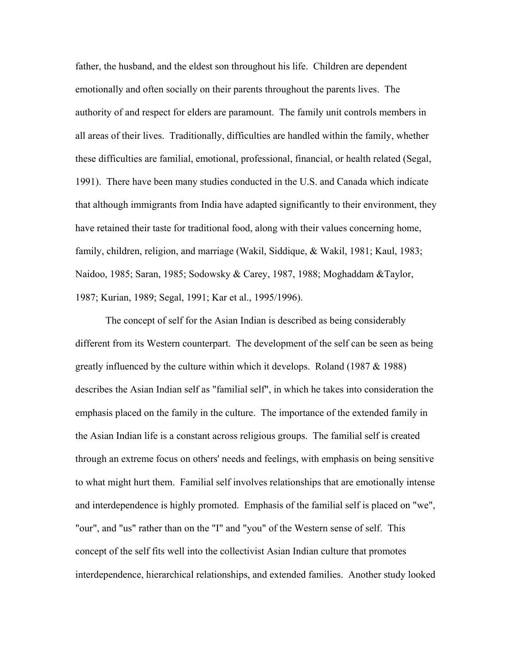father, the husband, and the eldest son throughout his life. Children are dependent emotionally and often socially on their parents throughout the parents lives. The authority of and respect for elders are paramount. The family unit controls members in all areas of their lives. Traditionally, difficulties are handled within the family, whether these difficulties are familial, emotional, professional, financial, or health related (Segal, 1991). There have been many studies conducted in the U.S. and Canada which indicate that although immigrants from India have adapted significantly to their environment, they have retained their taste for traditional food, along with their values concerning home, family, children, religion, and marriage (Wakil, Siddique, & Wakil, 1981; Kaul, 1983; Naidoo, 1985; Saran, 1985; Sodowsky & Carey, 1987, 1988; Moghaddam &Taylor, 1987; Kurian, 1989; Segal, 1991; Kar et al., 1995/1996).

 The concept of self for the Asian Indian is described as being considerably different from its Western counterpart. The development of the self can be seen as being greatly influenced by the culture within which it develops. Roland (1987 & 1988) describes the Asian Indian self as "familial self", in which he takes into consideration the emphasis placed on the family in the culture. The importance of the extended family in the Asian Indian life is a constant across religious groups. The familial self is created through an extreme focus on others' needs and feelings, with emphasis on being sensitive to what might hurt them. Familial self involves relationships that are emotionally intense and interdependence is highly promoted. Emphasis of the familial self is placed on "we", "our", and "us" rather than on the "I" and "you" of the Western sense of self. This concept of the self fits well into the collectivist Asian Indian culture that promotes interdependence, hierarchical relationships, and extended families. Another study looked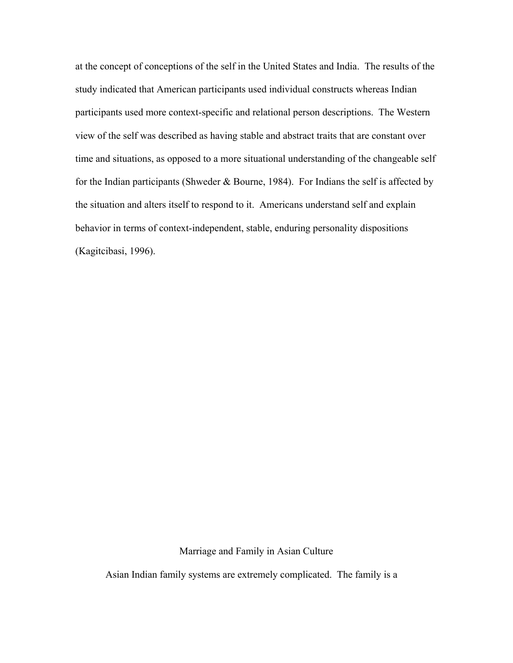at the concept of conceptions of the self in the United States and India. The results of the study indicated that American participants used individual constructs whereas Indian participants used more context-specific and relational person descriptions. The Western view of the self was described as having stable and abstract traits that are constant over time and situations, as opposed to a more situational understanding of the changeable self for the Indian participants (Shweder & Bourne, 1984). For Indians the self is affected by the situation and alters itself to respond to it. Americans understand self and explain behavior in terms of context-independent, stable, enduring personality dispositions (Kagitcibasi, 1996).

Marriage and Family in Asian Culture

Asian Indian family systems are extremely complicated. The family is a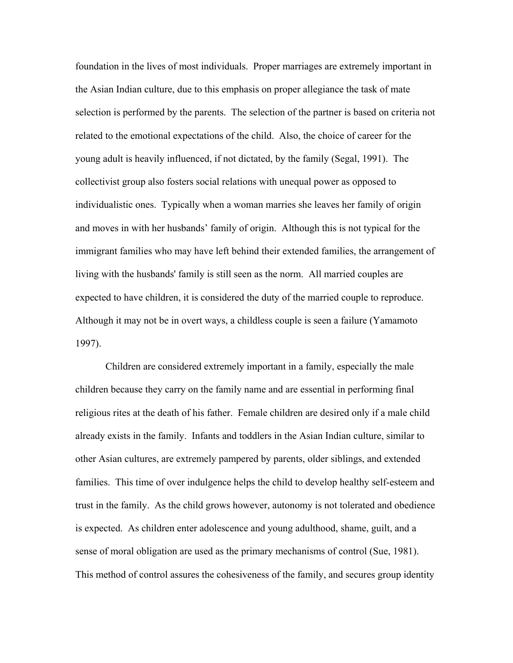foundation in the lives of most individuals. Proper marriages are extremely important in the Asian Indian culture, due to this emphasis on proper allegiance the task of mate selection is performed by the parents. The selection of the partner is based on criteria not related to the emotional expectations of the child. Also, the choice of career for the young adult is heavily influenced, if not dictated, by the family (Segal, 1991). The collectivist group also fosters social relations with unequal power as opposed to individualistic ones. Typically when a woman marries she leaves her family of origin and moves in with her husbands' family of origin. Although this is not typical for the immigrant families who may have left behind their extended families, the arrangement of living with the husbands' family is still seen as the norm. All married couples are expected to have children, it is considered the duty of the married couple to reproduce. Although it may not be in overt ways, a childless couple is seen a failure (Yamamoto 1997).

Children are considered extremely important in a family, especially the male children because they carry on the family name and are essential in performing final religious rites at the death of his father. Female children are desired only if a male child already exists in the family. Infants and toddlers in the Asian Indian culture, similar to other Asian cultures, are extremely pampered by parents, older siblings, and extended families. This time of over indulgence helps the child to develop healthy self-esteem and trust in the family. As the child grows however, autonomy is not tolerated and obedience is expected. As children enter adolescence and young adulthood, shame, guilt, and a sense of moral obligation are used as the primary mechanisms of control (Sue, 1981). This method of control assures the cohesiveness of the family, and secures group identity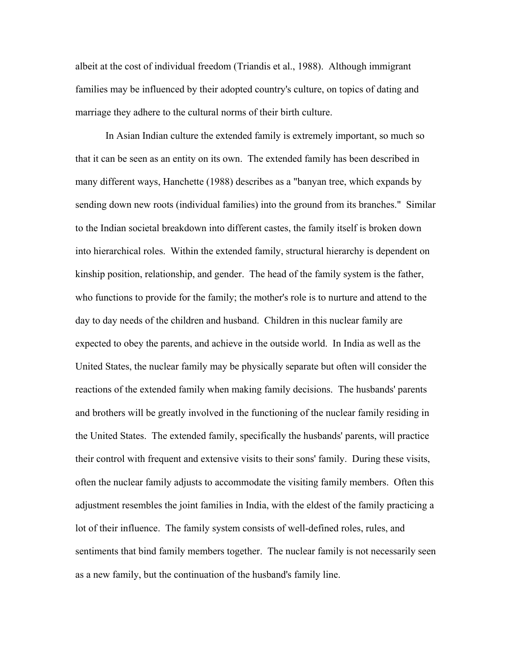albeit at the cost of individual freedom (Triandis et al., 1988). Although immigrant families may be influenced by their adopted country's culture, on topics of dating and marriage they adhere to the cultural norms of their birth culture.

 In Asian Indian culture the extended family is extremely important, so much so that it can be seen as an entity on its own. The extended family has been described in many different ways, Hanchette (1988) describes as a "banyan tree, which expands by sending down new roots (individual families) into the ground from its branches." Similar to the Indian societal breakdown into different castes, the family itself is broken down into hierarchical roles. Within the extended family, structural hierarchy is dependent on kinship position, relationship, and gender. The head of the family system is the father, who functions to provide for the family; the mother's role is to nurture and attend to the day to day needs of the children and husband. Children in this nuclear family are expected to obey the parents, and achieve in the outside world. In India as well as the United States, the nuclear family may be physically separate but often will consider the reactions of the extended family when making family decisions. The husbands' parents and brothers will be greatly involved in the functioning of the nuclear family residing in the United States. The extended family, specifically the husbands' parents, will practice their control with frequent and extensive visits to their sons' family. During these visits, often the nuclear family adjusts to accommodate the visiting family members. Often this adjustment resembles the joint families in India, with the eldest of the family practicing a lot of their influence. The family system consists of well-defined roles, rules, and sentiments that bind family members together. The nuclear family is not necessarily seen as a new family, but the continuation of the husband's family line.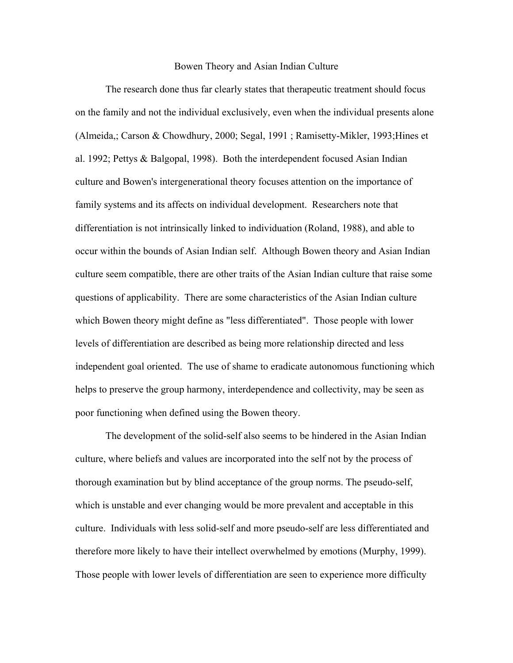#### Bowen Theory and Asian Indian Culture

 The research done thus far clearly states that therapeutic treatment should focus on the family and not the individual exclusively, even when the individual presents alone (Almeida,; Carson & Chowdhury, 2000; Segal, 1991 ; Ramisetty-Mikler, 1993;Hines et al. 1992; Pettys & Balgopal, 1998). Both the interdependent focused Asian Indian culture and Bowen's intergenerational theory focuses attention on the importance of family systems and its affects on individual development. Researchers note that differentiation is not intrinsically linked to individuation (Roland, 1988), and able to occur within the bounds of Asian Indian self. Although Bowen theory and Asian Indian culture seem compatible, there are other traits of the Asian Indian culture that raise some questions of applicability. There are some characteristics of the Asian Indian culture which Bowen theory might define as "less differentiated". Those people with lower levels of differentiation are described as being more relationship directed and less independent goal oriented. The use of shame to eradicate autonomous functioning which helps to preserve the group harmony, interdependence and collectivity, may be seen as poor functioning when defined using the Bowen theory.

 The development of the solid-self also seems to be hindered in the Asian Indian culture, where beliefs and values are incorporated into the self not by the process of thorough examination but by blind acceptance of the group norms. The pseudo-self, which is unstable and ever changing would be more prevalent and acceptable in this culture. Individuals with less solid-self and more pseudo-self are less differentiated and therefore more likely to have their intellect overwhelmed by emotions (Murphy, 1999). Those people with lower levels of differentiation are seen to experience more difficulty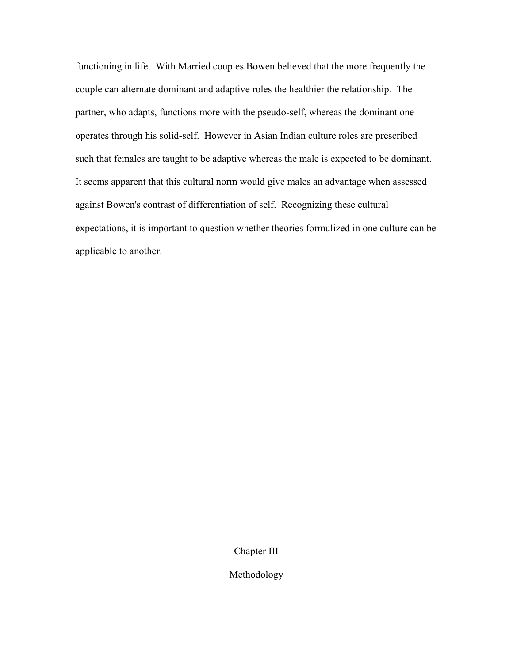functioning in life. With Married couples Bowen believed that the more frequently the couple can alternate dominant and adaptive roles the healthier the relationship. The partner, who adapts, functions more with the pseudo-self, whereas the dominant one operates through his solid-self. However in Asian Indian culture roles are prescribed such that females are taught to be adaptive whereas the male is expected to be dominant. It seems apparent that this cultural norm would give males an advantage when assessed against Bowen's contrast of differentiation of self. Recognizing these cultural expectations, it is important to question whether theories formulized in one culture can be applicable to another.

Chapter III

Methodology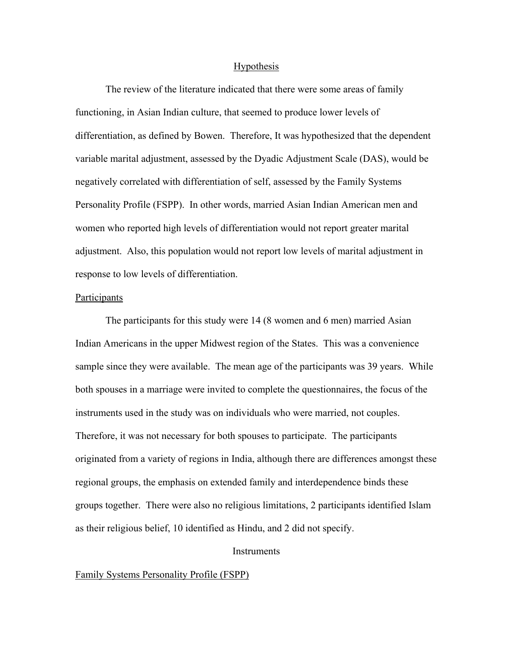#### **Hypothesis**

 The review of the literature indicated that there were some areas of family functioning, in Asian Indian culture, that seemed to produce lower levels of differentiation, as defined by Bowen. Therefore, It was hypothesized that the dependent variable marital adjustment, assessed by the Dyadic Adjustment Scale (DAS), would be negatively correlated with differentiation of self, assessed by the Family Systems Personality Profile (FSPP). In other words, married Asian Indian American men and women who reported high levels of differentiation would not report greater marital adjustment. Also, this population would not report low levels of marital adjustment in response to low levels of differentiation.

### Participants

 The participants for this study were 14 (8 women and 6 men) married Asian Indian Americans in the upper Midwest region of the States. This was a convenience sample since they were available. The mean age of the participants was 39 years. While both spouses in a marriage were invited to complete the questionnaires, the focus of the instruments used in the study was on individuals who were married, not couples. Therefore, it was not necessary for both spouses to participate. The participants originated from a variety of regions in India, although there are differences amongst these regional groups, the emphasis on extended family and interdependence binds these groups together. There were also no religious limitations, 2 participants identified Islam as their religious belief, 10 identified as Hindu, and 2 did not specify.

### **Instruments**

#### Family Systems Personality Profile (FSPP)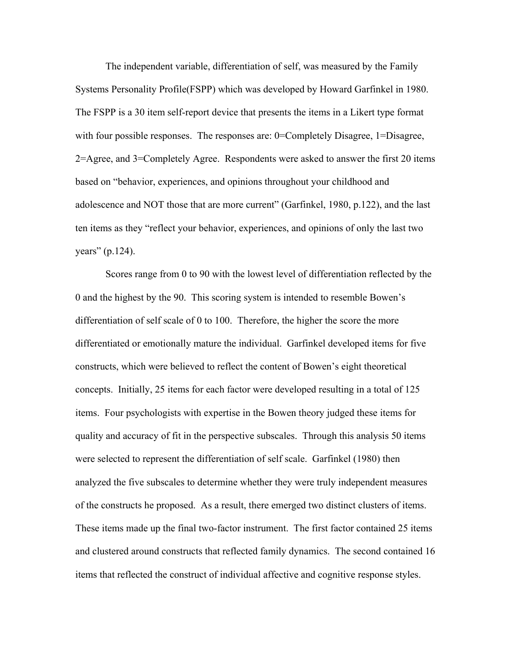The independent variable, differentiation of self, was measured by the Family Systems Personality Profile(FSPP) which was developed by Howard Garfinkel in 1980. The FSPP is a 30 item self-report device that presents the items in a Likert type format with four possible responses. The responses are: 0=Completely Disagree, 1=Disagree, 2=Agree, and 3=Completely Agree. Respondents were asked to answer the first 20 items based on "behavior, experiences, and opinions throughout your childhood and adolescence and NOT those that are more current" (Garfinkel, 1980, p.122), and the last ten items as they "reflect your behavior, experiences, and opinions of only the last two years" (p.124).

 Scores range from 0 to 90 with the lowest level of differentiation reflected by the 0 and the highest by the 90. This scoring system is intended to resemble Bowen's differentiation of self scale of 0 to 100. Therefore, the higher the score the more differentiated or emotionally mature the individual. Garfinkel developed items for five constructs, which were believed to reflect the content of Bowen's eight theoretical concepts. Initially, 25 items for each factor were developed resulting in a total of 125 items. Four psychologists with expertise in the Bowen theory judged these items for quality and accuracy of fit in the perspective subscales. Through this analysis 50 items were selected to represent the differentiation of self scale. Garfinkel (1980) then analyzed the five subscales to determine whether they were truly independent measures of the constructs he proposed. As a result, there emerged two distinct clusters of items. These items made up the final two-factor instrument. The first factor contained 25 items and clustered around constructs that reflected family dynamics. The second contained 16 items that reflected the construct of individual affective and cognitive response styles.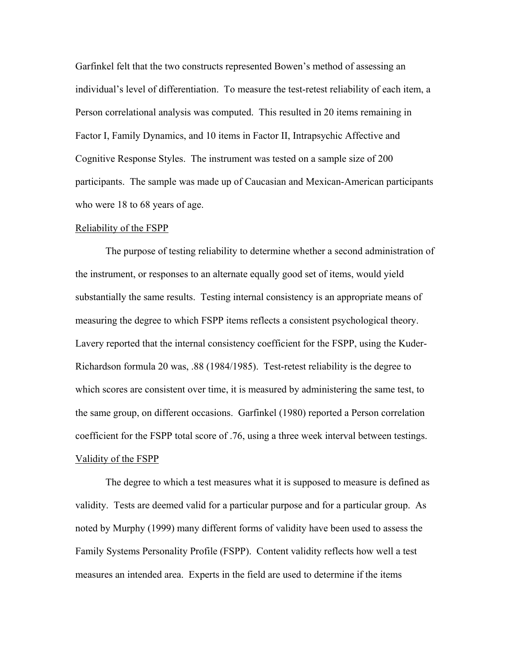Garfinkel felt that the two constructs represented Bowen's method of assessing an individual's level of differentiation. To measure the test-retest reliability of each item, a Person correlational analysis was computed. This resulted in 20 items remaining in Factor I, Family Dynamics, and 10 items in Factor II, Intrapsychic Affective and Cognitive Response Styles. The instrument was tested on a sample size of 200 participants. The sample was made up of Caucasian and Mexican-American participants who were 18 to 68 years of age.

#### Reliability of the FSPP

 The purpose of testing reliability to determine whether a second administration of the instrument, or responses to an alternate equally good set of items, would yield substantially the same results. Testing internal consistency is an appropriate means of measuring the degree to which FSPP items reflects a consistent psychological theory. Lavery reported that the internal consistency coefficient for the FSPP, using the Kuder-Richardson formula 20 was, .88 (1984/1985). Test-retest reliability is the degree to which scores are consistent over time, it is measured by administering the same test, to the same group, on different occasions. Garfinkel (1980) reported a Person correlation coefficient for the FSPP total score of .76, using a three week interval between testings. Validity of the FSPP

 The degree to which a test measures what it is supposed to measure is defined as validity. Tests are deemed valid for a particular purpose and for a particular group. As noted by Murphy (1999) many different forms of validity have been used to assess the Family Systems Personality Profile (FSPP). Content validity reflects how well a test measures an intended area. Experts in the field are used to determine if the items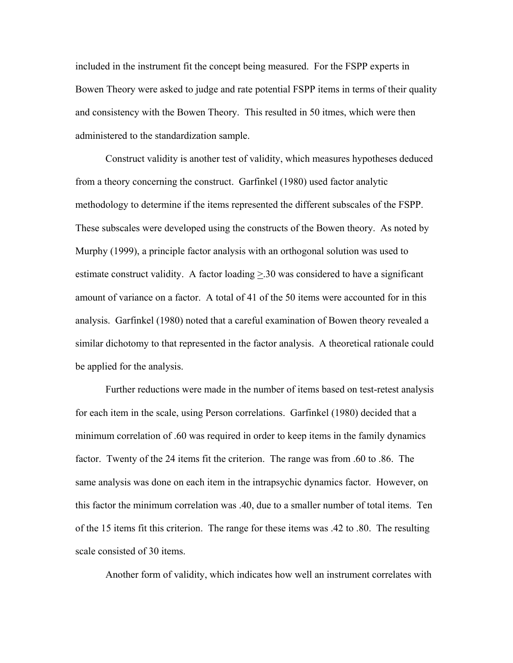included in the instrument fit the concept being measured. For the FSPP experts in Bowen Theory were asked to judge and rate potential FSPP items in terms of their quality and consistency with the Bowen Theory. This resulted in 50 itmes, which were then administered to the standardization sample.

 Construct validity is another test of validity, which measures hypotheses deduced from a theory concerning the construct. Garfinkel (1980) used factor analytic methodology to determine if the items represented the different subscales of the FSPP. These subscales were developed using the constructs of the Bowen theory. As noted by Murphy (1999), a principle factor analysis with an orthogonal solution was used to estimate construct validity. A factor loading  $\geq 30$  was considered to have a significant amount of variance on a factor. A total of 41 of the 50 items were accounted for in this analysis. Garfinkel (1980) noted that a careful examination of Bowen theory revealed a similar dichotomy to that represented in the factor analysis. A theoretical rationale could be applied for the analysis.

 Further reductions were made in the number of items based on test-retest analysis for each item in the scale, using Person correlations. Garfinkel (1980) decided that a minimum correlation of .60 was required in order to keep items in the family dynamics factor. Twenty of the 24 items fit the criterion. The range was from .60 to .86. The same analysis was done on each item in the intrapsychic dynamics factor. However, on this factor the minimum correlation was .40, due to a smaller number of total items. Ten of the 15 items fit this criterion. The range for these items was .42 to .80. The resulting scale consisted of 30 items.

Another form of validity, which indicates how well an instrument correlates with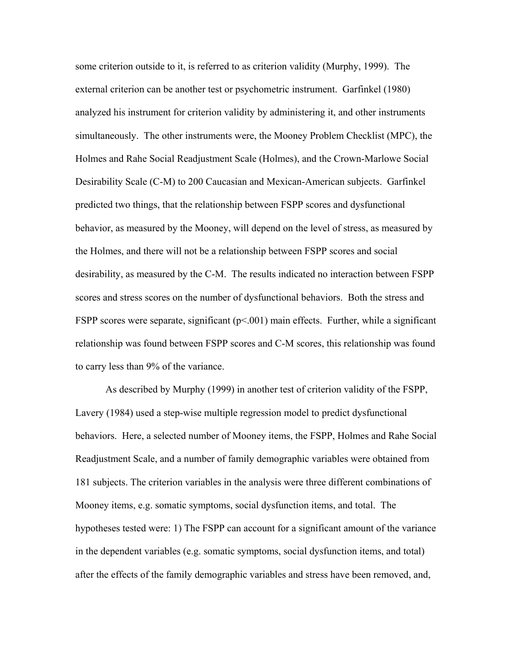some criterion outside to it, is referred to as criterion validity (Murphy, 1999). The external criterion can be another test or psychometric instrument. Garfinkel (1980) analyzed his instrument for criterion validity by administering it, and other instruments simultaneously. The other instruments were, the Mooney Problem Checklist (MPC), the Holmes and Rahe Social Readjustment Scale (Holmes), and the Crown-Marlowe Social Desirability Scale (C-M) to 200 Caucasian and Mexican-American subjects. Garfinkel predicted two things, that the relationship between FSPP scores and dysfunctional behavior, as measured by the Mooney, will depend on the level of stress, as measured by the Holmes, and there will not be a relationship between FSPP scores and social desirability, as measured by the C-M. The results indicated no interaction between FSPP scores and stress scores on the number of dysfunctional behaviors. Both the stress and FSPP scores were separate, significant ( $p<0.001$ ) main effects. Further, while a significant relationship was found between FSPP scores and C-M scores, this relationship was found to carry less than 9% of the variance.

 As described by Murphy (1999) in another test of criterion validity of the FSPP, Lavery (1984) used a step-wise multiple regression model to predict dysfunctional behaviors. Here, a selected number of Mooney items, the FSPP, Holmes and Rahe Social Readjustment Scale, and a number of family demographic variables were obtained from 181 subjects. The criterion variables in the analysis were three different combinations of Mooney items, e.g. somatic symptoms, social dysfunction items, and total. The hypotheses tested were: 1) The FSPP can account for a significant amount of the variance in the dependent variables (e.g. somatic symptoms, social dysfunction items, and total) after the effects of the family demographic variables and stress have been removed, and,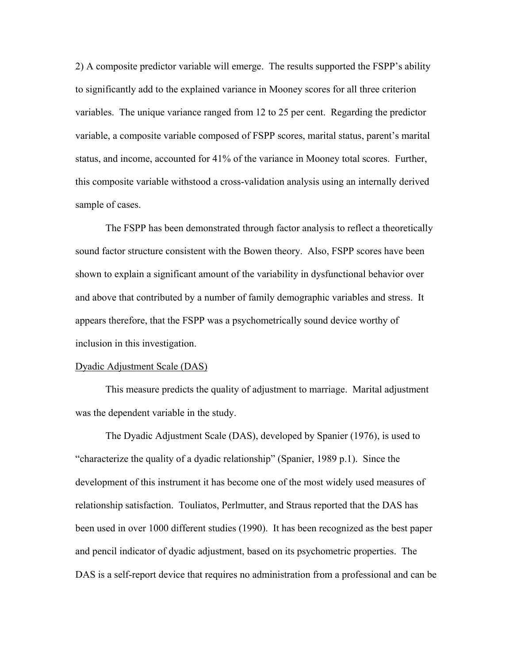2) A composite predictor variable will emerge. The results supported the FSPP's ability to significantly add to the explained variance in Mooney scores for all three criterion variables. The unique variance ranged from 12 to 25 per cent. Regarding the predictor variable, a composite variable composed of FSPP scores, marital status, parent's marital status, and income, accounted for 41% of the variance in Mooney total scores. Further, this composite variable withstood a cross-validation analysis using an internally derived sample of cases.

 The FSPP has been demonstrated through factor analysis to reflect a theoretically sound factor structure consistent with the Bowen theory. Also, FSPP scores have been shown to explain a significant amount of the variability in dysfunctional behavior over and above that contributed by a number of family demographic variables and stress. It appears therefore, that the FSPP was a psychometrically sound device worthy of inclusion in this investigation.

#### Dyadic Adjustment Scale (DAS)

 This measure predicts the quality of adjustment to marriage. Marital adjustment was the dependent variable in the study.

 The Dyadic Adjustment Scale (DAS), developed by Spanier (1976), is used to "characterize the quality of a dyadic relationship" (Spanier, 1989 p.1). Since the development of this instrument it has become one of the most widely used measures of relationship satisfaction. Touliatos, Perlmutter, and Straus reported that the DAS has been used in over 1000 different studies (1990). It has been recognized as the best paper and pencil indicator of dyadic adjustment, based on its psychometric properties. The DAS is a self-report device that requires no administration from a professional and can be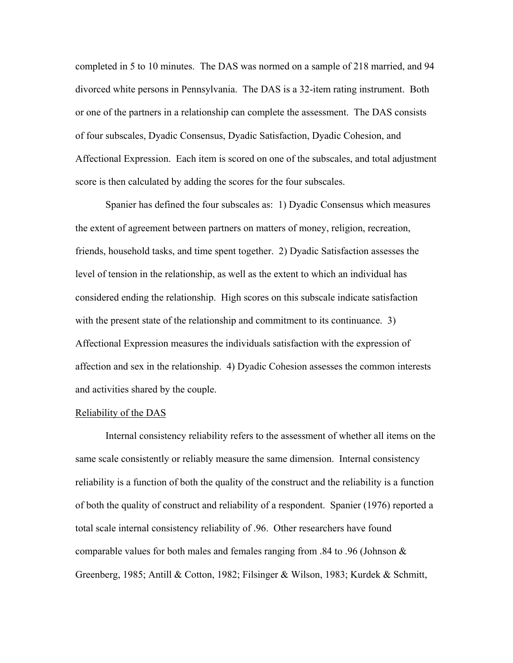completed in 5 to 10 minutes. The DAS was normed on a sample of 218 married, and 94 divorced white persons in Pennsylvania. The DAS is a 32-item rating instrument. Both or one of the partners in a relationship can complete the assessment. The DAS consists of four subscales, Dyadic Consensus, Dyadic Satisfaction, Dyadic Cohesion, and Affectional Expression. Each item is scored on one of the subscales, and total adjustment score is then calculated by adding the scores for the four subscales.

Spanier has defined the four subscales as: 1) Dyadic Consensus which measures the extent of agreement between partners on matters of money, religion, recreation, friends, household tasks, and time spent together. 2) Dyadic Satisfaction assesses the level of tension in the relationship, as well as the extent to which an individual has considered ending the relationship. High scores on this subscale indicate satisfaction with the present state of the relationship and commitment to its continuance. 3) Affectional Expression measures the individuals satisfaction with the expression of affection and sex in the relationship. 4) Dyadic Cohesion assesses the common interests and activities shared by the couple.

### Reliability of the DAS

 Internal consistency reliability refers to the assessment of whether all items on the same scale consistently or reliably measure the same dimension. Internal consistency reliability is a function of both the quality of the construct and the reliability is a function of both the quality of construct and reliability of a respondent. Spanier (1976) reported a total scale internal consistency reliability of .96. Other researchers have found comparable values for both males and females ranging from .84 to .96 (Johnson  $\&$ Greenberg, 1985; Antill & Cotton, 1982; Filsinger & Wilson, 1983; Kurdek & Schmitt,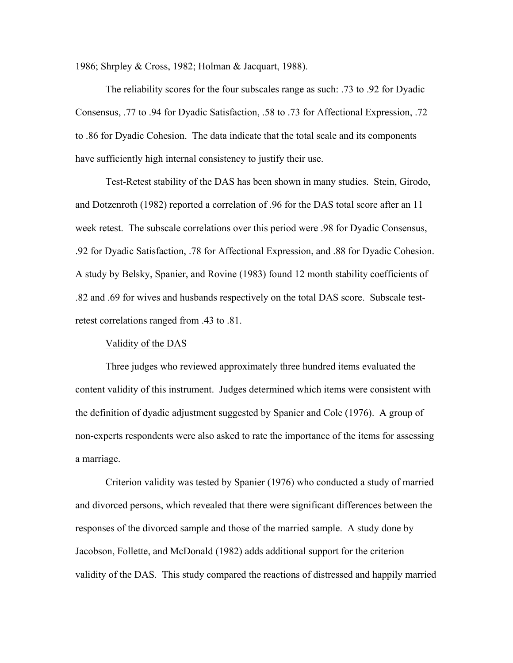1986; Shrpley & Cross, 1982; Holman & Jacquart, 1988).

 The reliability scores for the four subscales range as such: .73 to .92 for Dyadic Consensus, .77 to .94 for Dyadic Satisfaction, .58 to .73 for Affectional Expression, .72 to .86 for Dyadic Cohesion. The data indicate that the total scale and its components have sufficiently high internal consistency to justify their use.

 Test-Retest stability of the DAS has been shown in many studies. Stein, Girodo, and Dotzenroth (1982) reported a correlation of .96 for the DAS total score after an 11 week retest. The subscale correlations over this period were .98 for Dyadic Consensus, .92 for Dyadic Satisfaction, .78 for Affectional Expression, and .88 for Dyadic Cohesion. A study by Belsky, Spanier, and Rovine (1983) found 12 month stability coefficients of .82 and .69 for wives and husbands respectively on the total DAS score. Subscale testretest correlations ranged from .43 to .81.

### Validity of the DAS

 Three judges who reviewed approximately three hundred items evaluated the content validity of this instrument. Judges determined which items were consistent with the definition of dyadic adjustment suggested by Spanier and Cole (1976). A group of non-experts respondents were also asked to rate the importance of the items for assessing a marriage.

 Criterion validity was tested by Spanier (1976) who conducted a study of married and divorced persons, which revealed that there were significant differences between the responses of the divorced sample and those of the married sample. A study done by Jacobson, Follette, and McDonald (1982) adds additional support for the criterion validity of the DAS. This study compared the reactions of distressed and happily married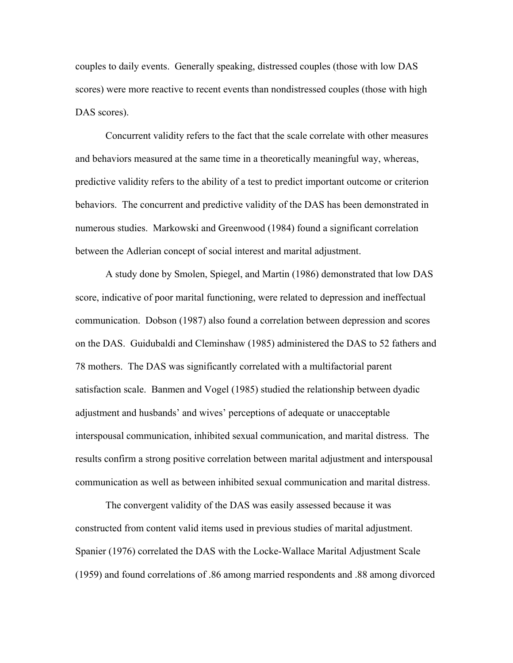couples to daily events. Generally speaking, distressed couples (those with low DAS scores) were more reactive to recent events than nondistressed couples (those with high DAS scores).

 Concurrent validity refers to the fact that the scale correlate with other measures and behaviors measured at the same time in a theoretically meaningful way, whereas, predictive validity refers to the ability of a test to predict important outcome or criterion behaviors. The concurrent and predictive validity of the DAS has been demonstrated in numerous studies. Markowski and Greenwood (1984) found a significant correlation between the Adlerian concept of social interest and marital adjustment.

 A study done by Smolen, Spiegel, and Martin (1986) demonstrated that low DAS score, indicative of poor marital functioning, were related to depression and ineffectual communication. Dobson (1987) also found a correlation between depression and scores on the DAS. Guidubaldi and Cleminshaw (1985) administered the DAS to 52 fathers and 78 mothers. The DAS was significantly correlated with a multifactorial parent satisfaction scale. Banmen and Vogel (1985) studied the relationship between dyadic adjustment and husbands' and wives' perceptions of adequate or unacceptable interspousal communication, inhibited sexual communication, and marital distress. The results confirm a strong positive correlation between marital adjustment and interspousal communication as well as between inhibited sexual communication and marital distress.

 The convergent validity of the DAS was easily assessed because it was constructed from content valid items used in previous studies of marital adjustment. Spanier (1976) correlated the DAS with the Locke-Wallace Marital Adjustment Scale (1959) and found correlations of .86 among married respondents and .88 among divorced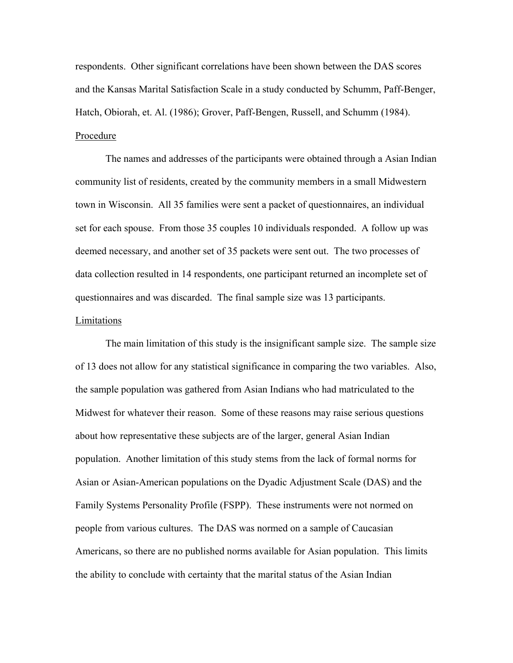respondents. Other significant correlations have been shown between the DAS scores and the Kansas Marital Satisfaction Scale in a study conducted by Schumm, Paff-Benger, Hatch, Obiorah, et. Al. (1986); Grover, Paff-Bengen, Russell, and Schumm (1984). Procedure

 The names and addresses of the participants were obtained through a Asian Indian community list of residents, created by the community members in a small Midwestern town in Wisconsin. All 35 families were sent a packet of questionnaires, an individual set for each spouse. From those 35 couples 10 individuals responded. A follow up was deemed necessary, and another set of 35 packets were sent out. The two processes of data collection resulted in 14 respondents, one participant returned an incomplete set of questionnaires and was discarded. The final sample size was 13 participants.

# **Limitations**

 The main limitation of this study is the insignificant sample size. The sample size of 13 does not allow for any statistical significance in comparing the two variables. Also, the sample population was gathered from Asian Indians who had matriculated to the Midwest for whatever their reason. Some of these reasons may raise serious questions about how representative these subjects are of the larger, general Asian Indian population. Another limitation of this study stems from the lack of formal norms for Asian or Asian-American populations on the Dyadic Adjustment Scale (DAS) and the Family Systems Personality Profile (FSPP). These instruments were not normed on people from various cultures. The DAS was normed on a sample of Caucasian Americans, so there are no published norms available for Asian population. This limits the ability to conclude with certainty that the marital status of the Asian Indian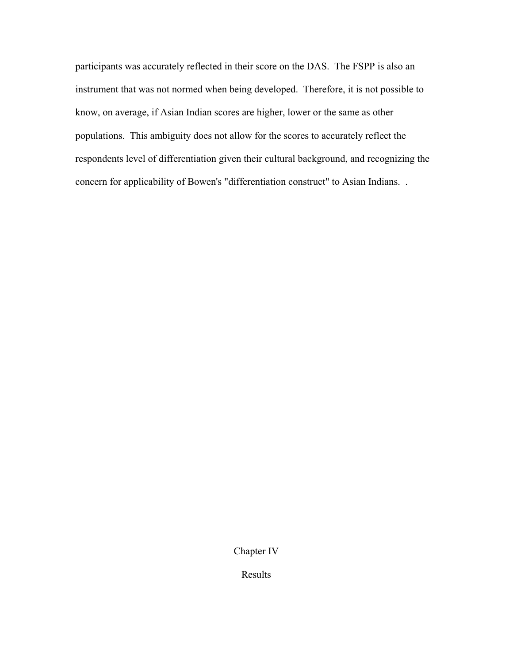participants was accurately reflected in their score on the DAS. The FSPP is also an instrument that was not normed when being developed. Therefore, it is not possible to know, on average, if Asian Indian scores are higher, lower or the same as other populations. This ambiguity does not allow for the scores to accurately reflect the respondents level of differentiation given their cultural background, and recognizing the concern for applicability of Bowen's "differentiation construct" to Asian Indians. .

Chapter IV

Results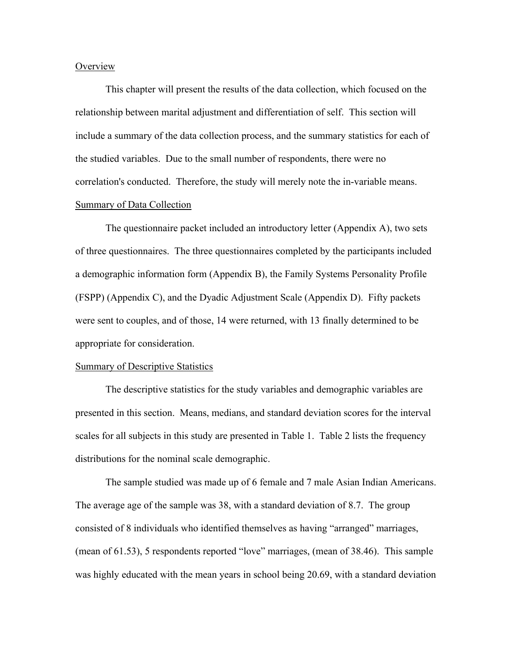### **Overview**

 This chapter will present the results of the data collection, which focused on the relationship between marital adjustment and differentiation of self. This section will include a summary of the data collection process, and the summary statistics for each of the studied variables. Due to the small number of respondents, there were no correlation's conducted. Therefore, the study will merely note the in-variable means. Summary of Data Collection

 The questionnaire packet included an introductory letter (Appendix A), two sets of three questionnaires. The three questionnaires completed by the participants included a demographic information form (Appendix B), the Family Systems Personality Profile (FSPP) (Appendix C), and the Dyadic Adjustment Scale (Appendix D). Fifty packets were sent to couples, and of those, 14 were returned, with 13 finally determined to be appropriate for consideration.

#### Summary of Descriptive Statistics

 The descriptive statistics for the study variables and demographic variables are presented in this section. Means, medians, and standard deviation scores for the interval scales for all subjects in this study are presented in Table 1. Table 2 lists the frequency distributions for the nominal scale demographic.

 The sample studied was made up of 6 female and 7 male Asian Indian Americans. The average age of the sample was 38, with a standard deviation of 8.7. The group consisted of 8 individuals who identified themselves as having "arranged" marriages, (mean of 61.53), 5 respondents reported "love" marriages, (mean of 38.46). This sample was highly educated with the mean years in school being 20.69, with a standard deviation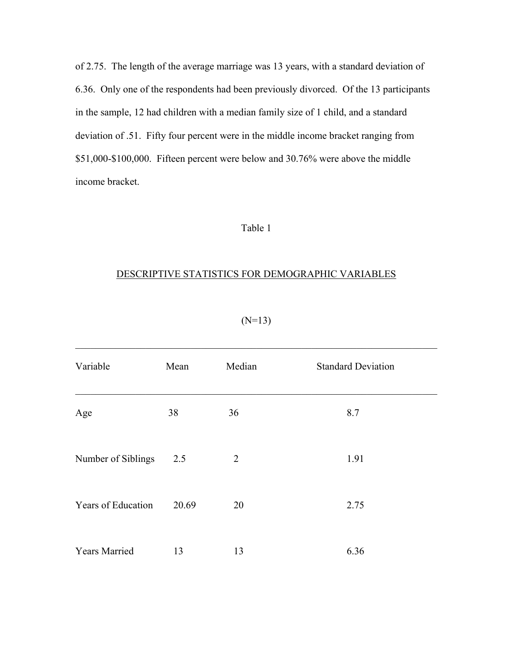of 2.75. The length of the average marriage was 13 years, with a standard deviation of 6.36. Only one of the respondents had been previously divorced. Of the 13 participants in the sample, 12 had children with a median family size of 1 child, and a standard deviation of .51. Fifty four percent were in the middle income bracket ranging from \$51,000-\$100,000. Fifteen percent were below and 30.76% were above the middle income bracket.

# Table 1

# DESCRIPTIVE STATISTICS FOR DEMOGRAPHIC VARIABLES

| Variable             | Mean  | Median         | <b>Standard Deviation</b> |
|----------------------|-------|----------------|---------------------------|
| Age                  | 38    | 36             | 8.7                       |
| Number of Siblings   | 2.5   | $\overline{2}$ | 1.91                      |
| Years of Education   | 20.69 | 20             | 2.75                      |
| <b>Years Married</b> | 13    | 13             | 6.36                      |

 $(N=13)$ 

 $\mathcal{L}_\text{max} = \mathcal{L}_\text{max} = \mathcal{L}_\text{max} = \mathcal{L}_\text{max} = \mathcal{L}_\text{max} = \mathcal{L}_\text{max} = \mathcal{L}_\text{max} = \mathcal{L}_\text{max} = \mathcal{L}_\text{max} = \mathcal{L}_\text{max} = \mathcal{L}_\text{max} = \mathcal{L}_\text{max} = \mathcal{L}_\text{max} = \mathcal{L}_\text{max} = \mathcal{L}_\text{max} = \mathcal{L}_\text{max} = \mathcal{L}_\text{max} = \mathcal{L}_\text{max} = \mathcal{$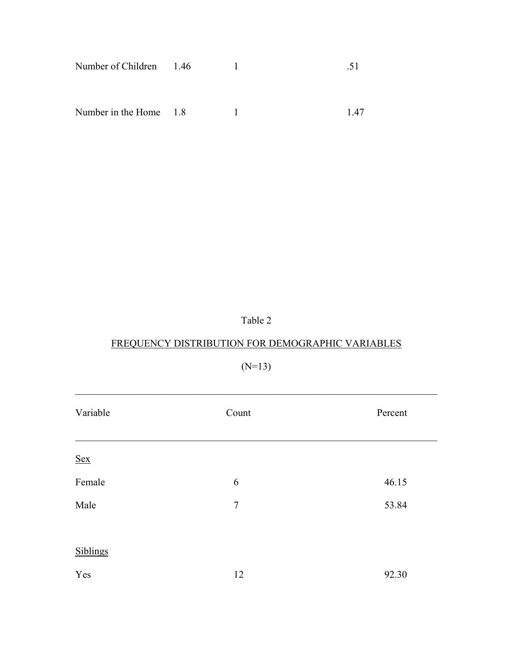| Number of Children 1.46 |  |  |
|-------------------------|--|--|
|                         |  |  |

Number in the Home 1.8 1.47

Table 2

# FREQUENCY DISTRIBUTION FOR DEMOGRAPHIC VARIABLES

(N=13)

| Variable   | Count          | Percent |
|------------|----------------|---------|
| <u>Sex</u> |                |         |
| Female     | 6              | 46.15   |
| Male       | $\overline{7}$ | 53.84   |
| Siblings   |                |         |
| Yes        | 12             | 92.30   |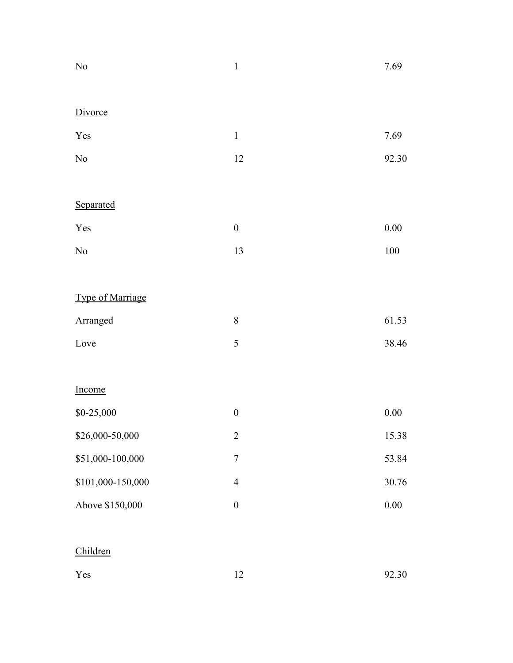| $\rm No$          | $\mathbf{1}$     | 7.69     |
|-------------------|------------------|----------|
| Divorce           |                  |          |
|                   |                  |          |
| Yes               | $\,1\,$          | 7.69     |
| $\rm No$          | 12               | 92.30    |
|                   |                  |          |
| Separated         |                  |          |
| Yes               | $\boldsymbol{0}$ | $0.00\,$ |
| $\rm No$          | 13               | $100\,$  |
|                   |                  |          |
| Type of Marriage  |                  |          |
| Arranged          | 8                | 61.53    |
| Love              | 5                | 38.46    |
|                   |                  |          |
| Income            |                  |          |
| $$0-25,000$       | $\boldsymbol{0}$ | $0.00\,$ |
| \$26,000-50,000   | $\overline{c}$   | 15.38    |
| \$51,000-100,000  | $\sqrt{ }$       | 53.84    |
| \$101,000-150,000 | $\overline{4}$   | 30.76    |
| Above \$150,000   | $\boldsymbol{0}$ | $0.00\,$ |
|                   |                  |          |
| Children          |                  |          |
| Yes               | 12               | 92.30    |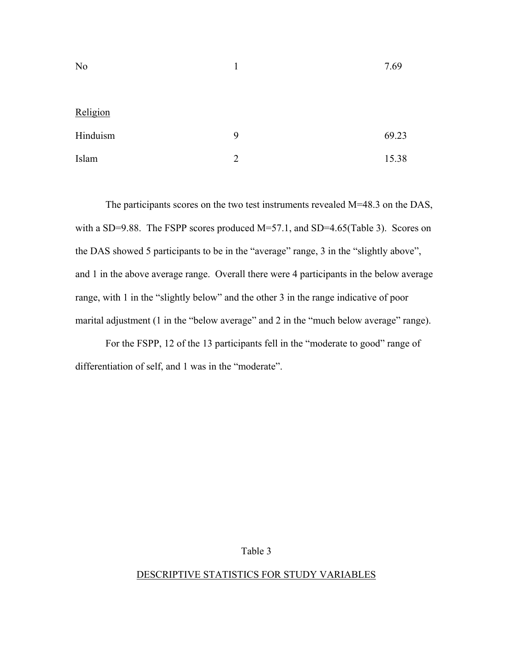| N <sub>o</sub> |                | 7.69  |
|----------------|----------------|-------|
|                |                |       |
| Religion       |                |       |
| Hinduism       | 9              | 69.23 |
| Islam          | $\overline{2}$ | 15.38 |

The participants scores on the two test instruments revealed M=48.3 on the DAS, with a SD=9.88. The FSPP scores produced M=57.1, and SD=4.65(Table 3). Scores on the DAS showed 5 participants to be in the "average" range, 3 in the "slightly above", and 1 in the above average range. Overall there were 4 participants in the below average range, with 1 in the "slightly below" and the other 3 in the range indicative of poor marital adjustment (1 in the "below average" and 2 in the "much below average" range).

For the FSPP, 12 of the 13 participants fell in the "moderate to good" range of differentiation of self, and 1 was in the "moderate".

# Table 3

# DESCRIPTIVE STATISTICS FOR STUDY VARIABLES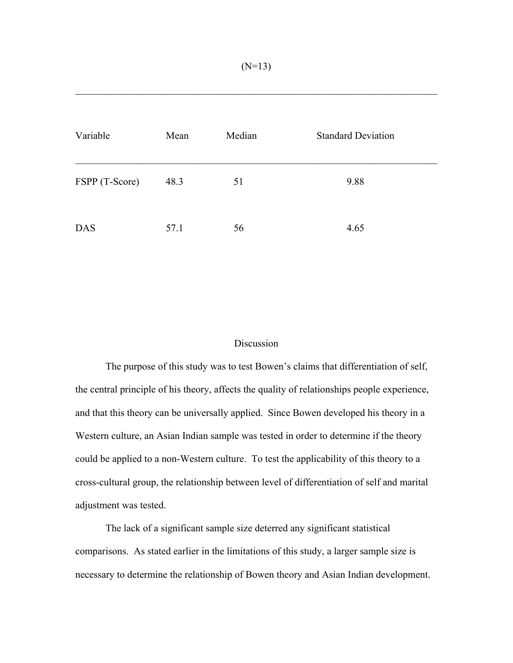| Variable       | Mean | Median | <b>Standard Deviation</b> |
|----------------|------|--------|---------------------------|
| FSPP (T-Score) | 48.3 | 51     | 9.88                      |
| <b>DAS</b>     | 57.1 | 56     | 4.65                      |

# Discussion

 The purpose of this study was to test Bowen's claims that differentiation of self, the central principle of his theory, affects the quality of relationships people experience, and that this theory can be universally applied. Since Bowen developed his theory in a Western culture, an Asian Indian sample was tested in order to determine if the theory could be applied to a non-Western culture. To test the applicability of this theory to a cross-cultural group, the relationship between level of differentiation of self and marital adjustment was tested.

 The lack of a significant sample size deterred any significant statistical comparisons. As stated earlier in the limitations of this study, a larger sample size is necessary to determine the relationship of Bowen theory and Asian Indian development.

 $\mathcal{L}_\text{max}$  , and the contribution of the contribution of the contribution of the contribution of the contribution of the contribution of the contribution of the contribution of the contribution of the contribution of t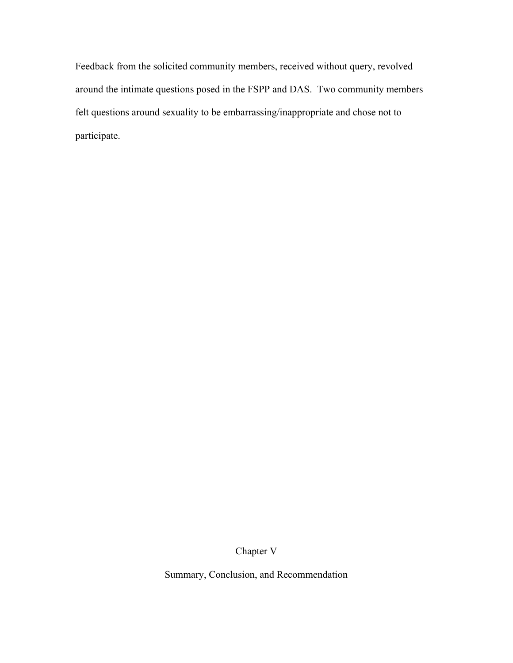Feedback from the solicited community members, received without query, revolved around the intimate questions posed in the FSPP and DAS. Two community members felt questions around sexuality to be embarrassing/inappropriate and chose not to participate.

Chapter V

Summary, Conclusion, and Recommendation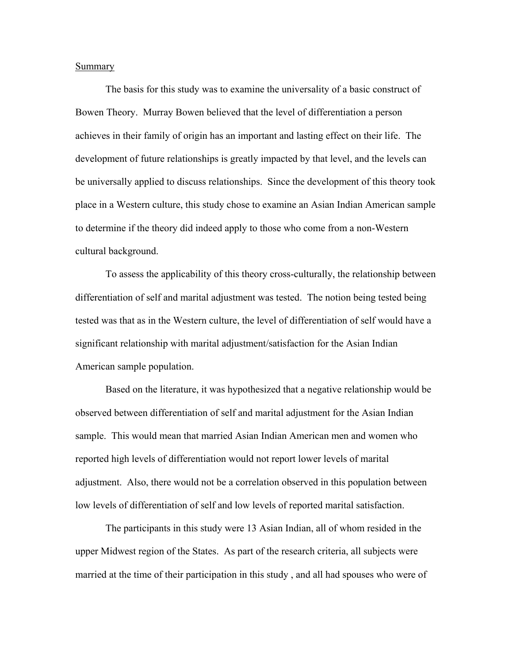#### **Summary**

 The basis for this study was to examine the universality of a basic construct of Bowen Theory. Murray Bowen believed that the level of differentiation a person achieves in their family of origin has an important and lasting effect on their life. The development of future relationships is greatly impacted by that level, and the levels can be universally applied to discuss relationships. Since the development of this theory took place in a Western culture, this study chose to examine an Asian Indian American sample to determine if the theory did indeed apply to those who come from a non-Western cultural background.

 To assess the applicability of this theory cross-culturally, the relationship between differentiation of self and marital adjustment was tested. The notion being tested being tested was that as in the Western culture, the level of differentiation of self would have a significant relationship with marital adjustment/satisfaction for the Asian Indian American sample population.

 Based on the literature, it was hypothesized that a negative relationship would be observed between differentiation of self and marital adjustment for the Asian Indian sample. This would mean that married Asian Indian American men and women who reported high levels of differentiation would not report lower levels of marital adjustment. Also, there would not be a correlation observed in this population between low levels of differentiation of self and low levels of reported marital satisfaction.

 The participants in this study were 13 Asian Indian, all of whom resided in the upper Midwest region of the States. As part of the research criteria, all subjects were married at the time of their participation in this study , and all had spouses who were of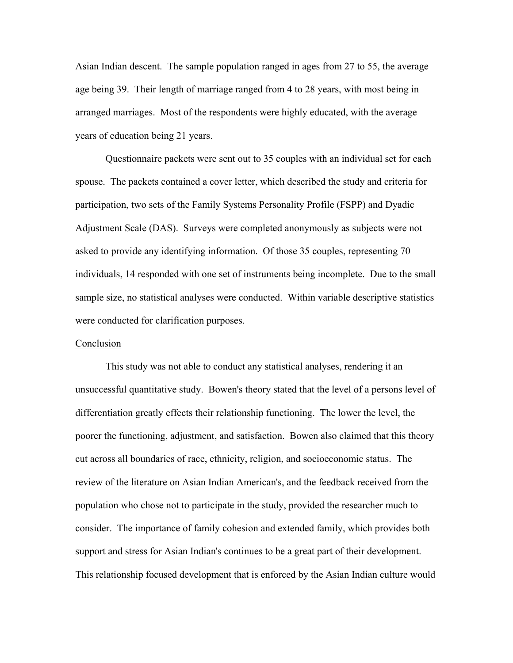Asian Indian descent. The sample population ranged in ages from 27 to 55, the average age being 39. Their length of marriage ranged from 4 to 28 years, with most being in arranged marriages. Most of the respondents were highly educated, with the average years of education being 21 years.

 Questionnaire packets were sent out to 35 couples with an individual set for each spouse. The packets contained a cover letter, which described the study and criteria for participation, two sets of the Family Systems Personality Profile (FSPP) and Dyadic Adjustment Scale (DAS). Surveys were completed anonymously as subjects were not asked to provide any identifying information. Of those 35 couples, representing 70 individuals, 14 responded with one set of instruments being incomplete. Due to the small sample size, no statistical analyses were conducted. Within variable descriptive statistics were conducted for clarification purposes.

# **Conclusion**

 This study was not able to conduct any statistical analyses, rendering it an unsuccessful quantitative study. Bowen's theory stated that the level of a persons level of differentiation greatly effects their relationship functioning. The lower the level, the poorer the functioning, adjustment, and satisfaction. Bowen also claimed that this theory cut across all boundaries of race, ethnicity, religion, and socioeconomic status. The review of the literature on Asian Indian American's, and the feedback received from the population who chose not to participate in the study, provided the researcher much to consider. The importance of family cohesion and extended family, which provides both support and stress for Asian Indian's continues to be a great part of their development. This relationship focused development that is enforced by the Asian Indian culture would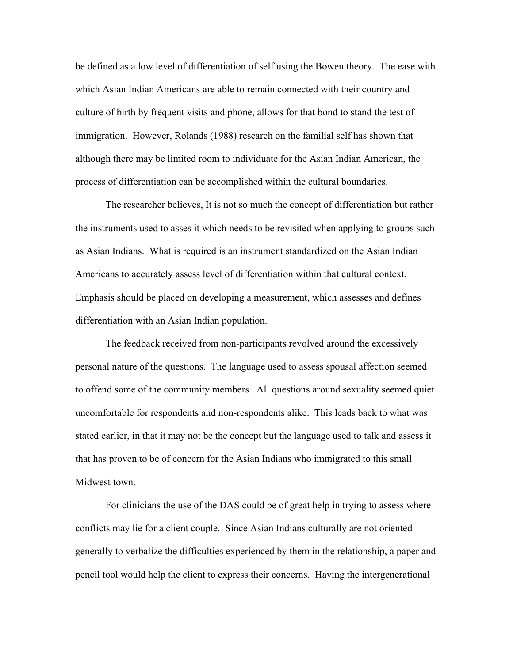be defined as a low level of differentiation of self using the Bowen theory. The ease with which Asian Indian Americans are able to remain connected with their country and culture of birth by frequent visits and phone, allows for that bond to stand the test of immigration. However, Rolands (1988) research on the familial self has shown that although there may be limited room to individuate for the Asian Indian American, the process of differentiation can be accomplished within the cultural boundaries.

The researcher believes, It is not so much the concept of differentiation but rather the instruments used to asses it which needs to be revisited when applying to groups such as Asian Indians. What is required is an instrument standardized on the Asian Indian Americans to accurately assess level of differentiation within that cultural context. Emphasis should be placed on developing a measurement, which assesses and defines differentiation with an Asian Indian population.

 The feedback received from non-participants revolved around the excessively personal nature of the questions. The language used to assess spousal affection seemed to offend some of the community members. All questions around sexuality seemed quiet uncomfortable for respondents and non-respondents alike. This leads back to what was stated earlier, in that it may not be the concept but the language used to talk and assess it that has proven to be of concern for the Asian Indians who immigrated to this small Midwest town.

 For clinicians the use of the DAS could be of great help in trying to assess where conflicts may lie for a client couple. Since Asian Indians culturally are not oriented generally to verbalize the difficulties experienced by them in the relationship, a paper and pencil tool would help the client to express their concerns. Having the intergenerational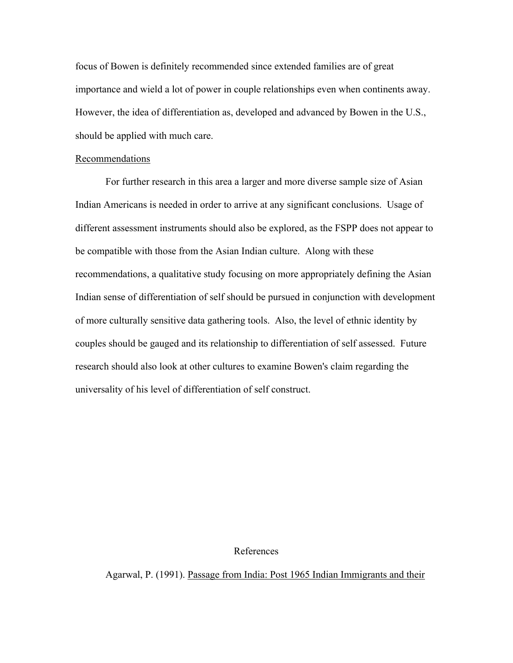focus of Bowen is definitely recommended since extended families are of great importance and wield a lot of power in couple relationships even when continents away. However, the idea of differentiation as, developed and advanced by Bowen in the U.S., should be applied with much care.

### Recommendations

 For further research in this area a larger and more diverse sample size of Asian Indian Americans is needed in order to arrive at any significant conclusions. Usage of different assessment instruments should also be explored, as the FSPP does not appear to be compatible with those from the Asian Indian culture. Along with these recommendations, a qualitative study focusing on more appropriately defining the Asian Indian sense of differentiation of self should be pursued in conjunction with development of more culturally sensitive data gathering tools. Also, the level of ethnic identity by couples should be gauged and its relationship to differentiation of self assessed. Future research should also look at other cultures to examine Bowen's claim regarding the universality of his level of differentiation of self construct.

### References

Agarwal, P. (1991). Passage from India: Post 1965 Indian Immigrants and their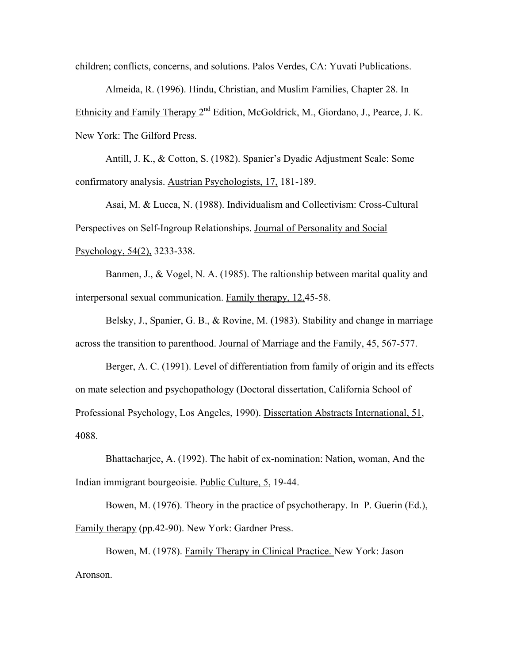children; conflicts, concerns, and solutions. Palos Verdes, CA: Yuvati Publications.

Almeida, R. (1996). Hindu, Christian, and Muslim Families, Chapter 28. In Ethnicity and Family Therapy 2<sup>nd</sup> Edition, McGoldrick, M., Giordano, J., Pearce, J. K. New York: The Gilford Press.

Antill, J. K., & Cotton, S. (1982). Spanier's Dyadic Adjustment Scale: Some confirmatory analysis. Austrian Psychologists, 17, 181-189.

Asai, M. & Lucca, N. (1988). Individualism and Collectivism: Cross-Cultural Perspectives on Self-Ingroup Relationships. Journal of Personality and Social Psychology, 54(2), 3233-338.

Banmen, J., & Vogel, N. A. (1985). The raltionship between marital quality and interpersonal sexual communication. Family therapy, 12,45-58.

Belsky, J., Spanier, G. B., & Rovine, M. (1983). Stability and change in marriage across the transition to parenthood. Journal of Marriage and the Family, 45, 567-577.

Berger, A. C. (1991). Level of differentiation from family of origin and its effects on mate selection and psychopathology (Doctoral dissertation, California School of Professional Psychology, Los Angeles, 1990). Dissertation Abstracts International, 51, 4088.

Bhattacharjee, A. (1992). The habit of ex-nomination: Nation, woman, And the Indian immigrant bourgeoisie. Public Culture, 5, 19-44.

Bowen, M. (1976). Theory in the practice of psychotherapy. In P. Guerin (Ed.), Family therapy (pp.42-90). New York: Gardner Press.

Bowen, M. (1978). Family Therapy in Clinical Practice. New York: Jason Aronson.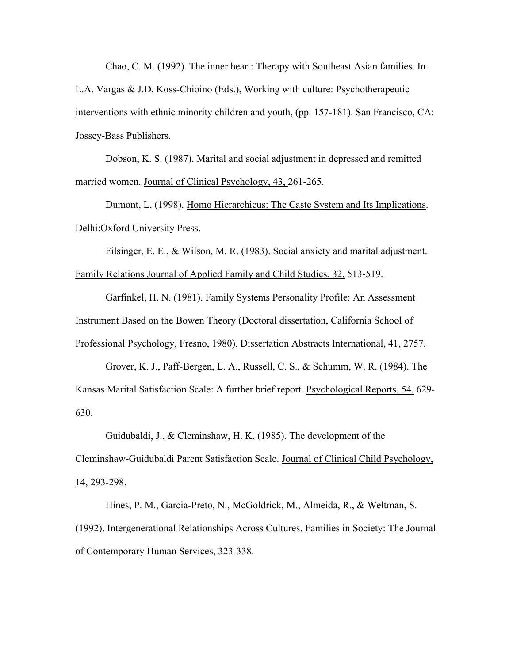Chao, C. M. (1992). The inner heart: Therapy with Southeast Asian families. In

L.A. Vargas & J.D. Koss-Chioino (Eds.), Working with culture: Psychotherapeutic interventions with ethnic minority children and youth, (pp. 157-181). San Francisco, CA: Jossey-Bass Publishers.

Dobson, K. S. (1987). Marital and social adjustment in depressed and remitted married women. Journal of Clinical Psychology, 43, 261-265.

Dumont, L. (1998). Homo Hierarchicus: The Caste System and Its Implications. Delhi:Oxford University Press.

Filsinger, E. E., & Wilson, M. R. (1983). Social anxiety and marital adjustment. Family Relations Journal of Applied Family and Child Studies, 32, 513-519.

Garfinkel, H. N. (1981). Family Systems Personality Profile: An Assessment Instrument Based on the Bowen Theory (Doctoral dissertation, California School of Professional Psychology, Fresno, 1980). Dissertation Abstracts International, 41, 2757.

Grover, K. J., Paff-Bergen, L. A., Russell, C. S., & Schumm, W. R. (1984). The Kansas Marital Satisfaction Scale: A further brief report. Psychological Reports, 54, 629- 630.

Guidubaldi, J., & Cleminshaw, H. K. (1985). The development of the Cleminshaw-Guidubaldi Parent Satisfaction Scale. Journal of Clinical Child Psychology, 14, 293-298.

Hines, P. M., Garcia-Preto, N., McGoldrick, M., Almeida, R., & Weltman, S. (1992). Intergenerational Relationships Across Cultures. Families in Society: The Journal of Contemporary Human Services, 323-338.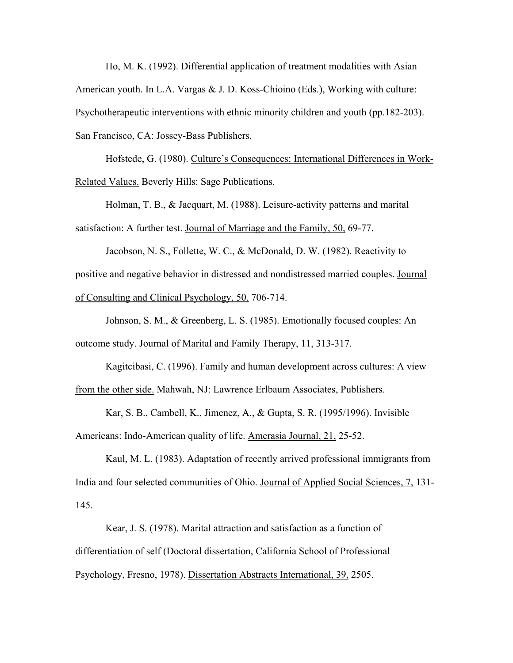Ho, M. K. (1992). Differential application of treatment modalities with Asian American youth. In L.A. Vargas & J. D. Koss-Chioino (Eds.), Working with culture: Psychotherapeutic interventions with ethnic minority children and youth (pp.182-203). San Francisco, CA: Jossey-Bass Publishers.

Hofstede, G. (1980). Culture's Consequences: International Differences in Work-Related Values. Beverly Hills: Sage Publications.

Holman, T. B., & Jacquart, M. (1988). Leisure-activity patterns and marital satisfaction: A further test. Journal of Marriage and the Family, 50, 69-77.

Jacobson, N. S., Follette, W. C., & McDonald, D. W. (1982). Reactivity to positive and negative behavior in distressed and nondistressed married couples. Journal of Consulting and Clinical Psychology, 50, 706-714.

Johnson, S. M., & Greenberg, L. S. (1985). Emotionally focused couples: An outcome study. Journal of Marital and Family Therapy, 11, 313-317.

Kagitcibasi, C. (1996). Family and human development across cultures: A view from the other side. Mahwah, NJ: Lawrence Erlbaum Associates, Publishers.

Kar, S. B., Cambell, K., Jimenez, A., & Gupta, S. R. (1995/1996). Invisible Americans: Indo-American quality of life. Amerasia Journal, 21, 25-52.

Kaul, M. L. (1983). Adaptation of recently arrived professional immigrants from India and four selected communities of Ohio. Journal of Applied Social Sciences, 7, 131- 145.

Kear, J. S. (1978). Marital attraction and satisfaction as a function of differentiation of self (Doctoral dissertation, California School of Professional Psychology, Fresno, 1978). Dissertation Abstracts International, 39, 2505.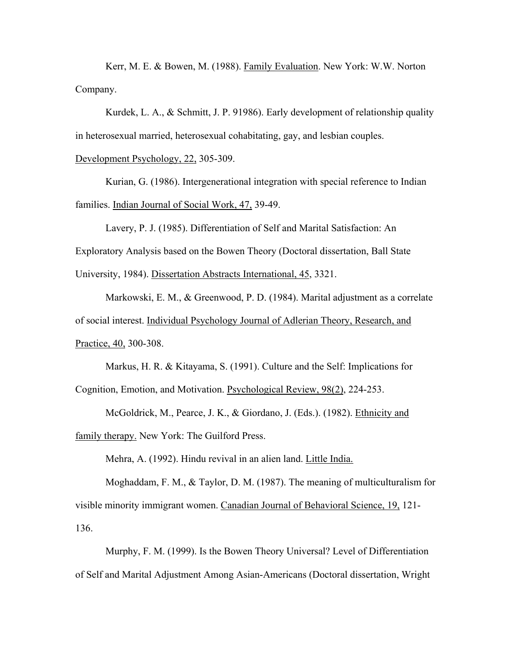Kerr, M. E. & Bowen, M. (1988). Family Evaluation. New York: W.W. Norton Company.

Kurdek, L. A., & Schmitt, J. P. 91986). Early development of relationship quality in heterosexual married, heterosexual cohabitating, gay, and lesbian couples.

Development Psychology, 22, 305-309.

Kurian, G. (1986). Intergenerational integration with special reference to Indian families. Indian Journal of Social Work, 47, 39-49.

Lavery, P. J. (1985). Differentiation of Self and Marital Satisfaction: An Exploratory Analysis based on the Bowen Theory (Doctoral dissertation, Ball State University, 1984). Dissertation Abstracts International, 45, 3321.

Markowski, E. M., & Greenwood, P. D. (1984). Marital adjustment as a correlate of social interest. Individual Psychology Journal of Adlerian Theory, Research, and Practice, 40, 300-308.

Markus, H. R. & Kitayama, S. (1991). Culture and the Self: Implications for Cognition, Emotion, and Motivation. Psychological Review, 98(2), 224-253.

McGoldrick, M., Pearce, J. K., & Giordano, J. (Eds.). (1982). Ethnicity and family therapy. New York: The Guilford Press.

Mehra, A. (1992). Hindu revival in an alien land. Little India.

Moghaddam, F. M., & Taylor, D. M. (1987). The meaning of multiculturalism for visible minority immigrant women. Canadian Journal of Behavioral Science, 19, 121- 136.

Murphy, F. M. (1999). Is the Bowen Theory Universal? Level of Differentiation of Self and Marital Adjustment Among Asian-Americans (Doctoral dissertation, Wright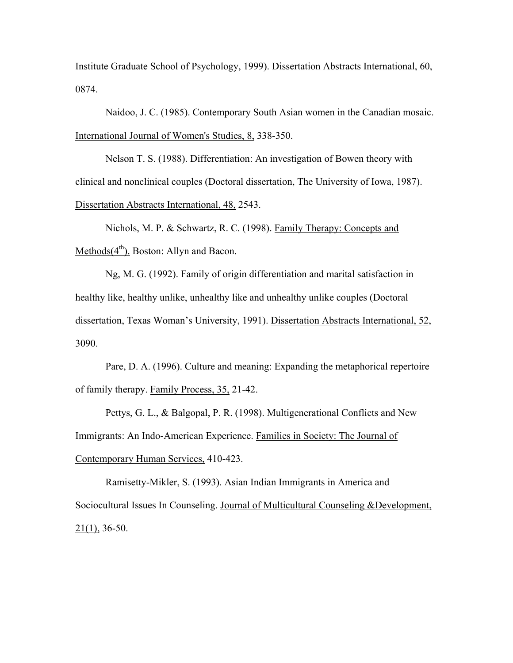Institute Graduate School of Psychology, 1999). Dissertation Abstracts International, 60, 0874.

Naidoo, J. C. (1985). Contemporary South Asian women in the Canadian mosaic. International Journal of Women's Studies, 8, 338-350.

Nelson T. S. (1988). Differentiation: An investigation of Bowen theory with clinical and nonclinical couples (Doctoral dissertation, The University of Iowa, 1987). Dissertation Abstracts International, 48, 2543.

Nichols, M. P. & Schwartz, R. C. (1998). Family Therapy: Concepts and Methods $(4<sup>th</sup>)$ . Boston: Allyn and Bacon.

Ng, M. G. (1992). Family of origin differentiation and marital satisfaction in healthy like, healthy unlike, unhealthy like and unhealthy unlike couples (Doctoral dissertation, Texas Woman's University, 1991). Dissertation Abstracts International, 52, 3090.

Pare, D. A. (1996). Culture and meaning: Expanding the metaphorical repertoire of family therapy. Family Process, 35, 21-42.

 Pettys, G. L., & Balgopal, P. R. (1998). Multigenerational Conflicts and New Immigrants: An Indo-American Experience. Families in Society: The Journal of Contemporary Human Services, 410-423.

Ramisetty-Mikler, S. (1993). Asian Indian Immigrants in America and Sociocultural Issues In Counseling. Journal of Multicultural Counseling &Development,  $21(1)$ , 36-50.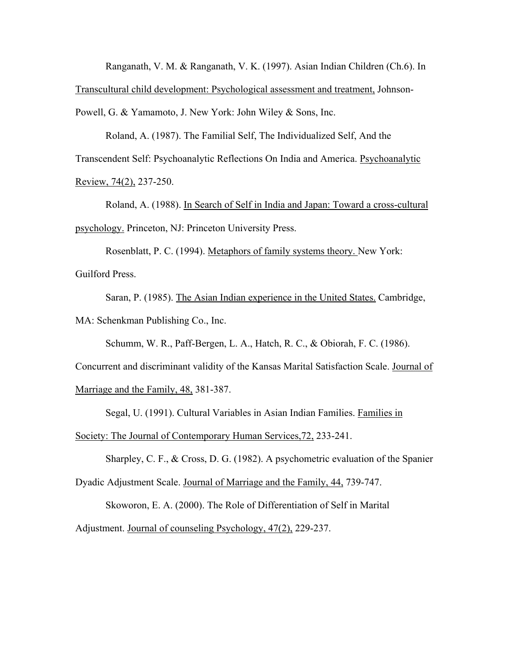Ranganath, V. M. & Ranganath, V. K. (1997). Asian Indian Children (Ch.6). In

Transcultural child development: Psychological assessment and treatment, Johnson-

Powell, G. & Yamamoto, J. New York: John Wiley & Sons, Inc.

Roland, A. (1987). The Familial Self, The Individualized Self, And the Transcendent Self: Psychoanalytic Reflections On India and America. Psychoanalytic Review, 74(2), 237-250.

Roland, A. (1988). In Search of Self in India and Japan: Toward a cross-cultural psychology. Princeton, NJ: Princeton University Press.

Rosenblatt, P. C. (1994). Metaphors of family systems theory. New York: Guilford Press.

Saran, P. (1985). The Asian Indian experience in the United States. Cambridge, MA: Schenkman Publishing Co., Inc.

Schumm, W. R., Paff-Bergen, L. A., Hatch, R. C., & Obiorah, F. C. (1986).

Concurrent and discriminant validity of the Kansas Marital Satisfaction Scale. Journal of

Marriage and the Family, 48, 381-387.

Segal, U. (1991). Cultural Variables in Asian Indian Families. Families in

Society: The Journal of Contemporary Human Services,72, 233-241.

Sharpley, C. F., & Cross, D. G. (1982). A psychometric evaluation of the Spanier

Dyadic Adjustment Scale. Journal of Marriage and the Family, 44, 739-747.

Skoworon, E. A. (2000). The Role of Differentiation of Self in Marital

Adjustment. Journal of counseling Psychology, 47(2), 229-237.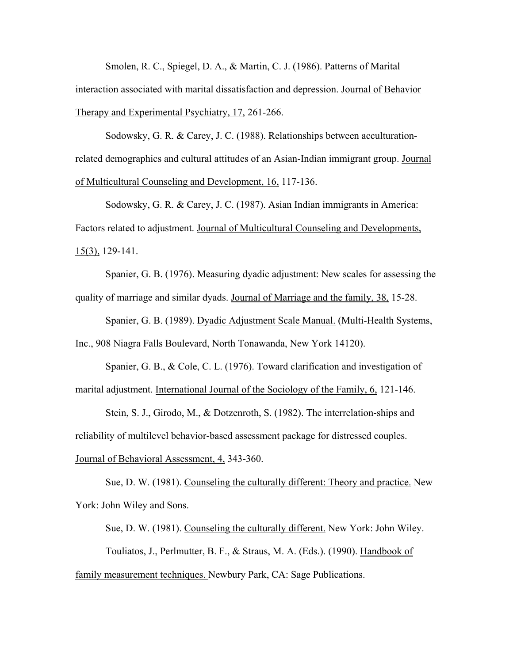Smolen, R. C., Spiegel, D. A., & Martin, C. J. (1986). Patterns of Marital interaction associated with marital dissatisfaction and depression. Journal of Behavior Therapy and Experimental Psychiatry, 17, 261-266.

Sodowsky, G. R. & Carey, J. C. (1988). Relationships between acculturationrelated demographics and cultural attitudes of an Asian-Indian immigrant group. Journal of Multicultural Counseling and Development, 16, 117-136.

Sodowsky, G. R. & Carey, J. C. (1987). Asian Indian immigrants in America: Factors related to adjustment. Journal of Multicultural Counseling and Developments, 15(3), 129-141.

Spanier, G. B. (1976). Measuring dyadic adjustment: New scales for assessing the quality of marriage and similar dyads. Journal of Marriage and the family, 38, 15-28.

Spanier, G. B. (1989). Dyadic Adjustment Scale Manual. (Multi-Health Systems, Inc., 908 Niagra Falls Boulevard, North Tonawanda, New York 14120).

Spanier, G. B., & Cole, C. L. (1976). Toward clarification and investigation of marital adjustment. International Journal of the Sociology of the Family, 6, 121-146.

Stein, S. J., Girodo, M., & Dotzenroth, S. (1982). The interrelation-ships and reliability of multilevel behavior-based assessment package for distressed couples. Journal of Behavioral Assessment, 4, 343-360.

Sue, D. W. (1981). Counseling the culturally different: Theory and practice. New York: John Wiley and Sons.

Sue, D. W. (1981). Counseling the culturally different. New York: John Wiley. Touliatos, J., Perlmutter, B. F., & Straus, M. A. (Eds.). (1990). Handbook of family measurement techniques. Newbury Park, CA: Sage Publications.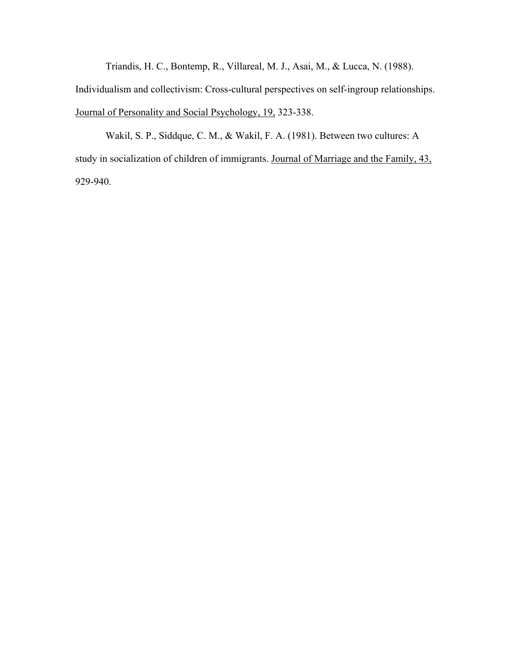Triandis, H. C., Bontemp, R., Villareal, M. J., Asai, M., & Lucca, N. (1988).

Individualism and collectivism: Cross-cultural perspectives on self-ingroup relationships. Journal of Personality and Social Psychology, 19, 323-338.

Wakil, S. P., Siddque, C. M., & Wakil, F. A. (1981). Between two cultures: A study in socialization of children of immigrants. Journal of Marriage and the Family, 43, 929-940.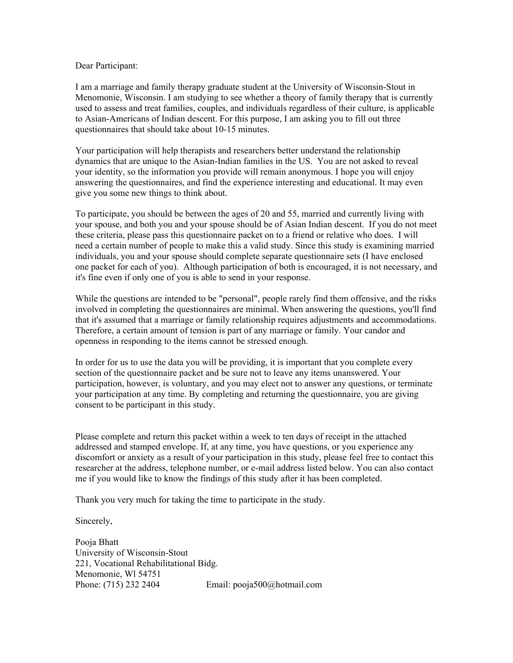## Dear Participant:

I am a marriage and family therapy graduate student at the University of Wisconsin-Stout in Menomonie, Wisconsin. I am studying to see whether a theory of family therapy that is currently used to assess and treat families, couples, and individuals regardless of their culture, is applicable to Asian-Americans of Indian descent. For this purpose, I am asking you to fill out three questionnaires that should take about 10-15 minutes.

Your participation will help therapists and researchers better understand the relationship dynamics that are unique to the Asian-Indian families in the US. You are not asked to reveal your identity, so the information you provide will remain anonymous. I hope you will enjoy answering the questionnaires, and find the experience interesting and educational. It may even give you some new things to think about.

To participate, you should be between the ages of 20 and 55, married and currently living with your spouse, and both you and your spouse should be of Asian Indian descent. If you do not meet these criteria, please pass this questionnaire packet on to a friend or relative who does. I will need a certain number of people to make this a valid study. Since this study is examining married individuals, you and your spouse should complete separate questionnaire sets (I have enclosed one packet for each of you). Although participation of both is encouraged, it is not necessary, and it's fine even if only one of you is able to send in your response.

While the questions are intended to be "personal", people rarely find them offensive, and the risks involved in completing the questionnaires are minimal. When answering the questions, you'll find that it's assumed that a marriage or family relationship requires adjustments and accommodations. Therefore, a certain amount of tension is part of any marriage or family. Your candor and openness in responding to the items cannot be stressed enough.

In order for us to use the data you will be providing, it is important that you complete every section of the questionnaire packet and be sure not to leave any items unanswered. Your participation, however, is voluntary, and you may elect not to answer any questions, or terminate your participation at any time. By completing and returning the questionnaire, you are giving consent to be participant in this study.

Please complete and return this packet within a week to ten days of receipt in the attached addressed and stamped envelope. If, at any time, you have questions, or you experience any discomfort or anxiety as a result of your participation in this study, please feel free to contact this researcher at the address, telephone number, or e-mail address listed below. You can also contact me if you would like to know the findings of this study after it has been completed.

Thank you very much for taking the time to participate in the study.

Sincerely,

Pooja Bhatt University of Wisconsin-Stout 221, Vocational Rehabilitational Bidg. Menomonie, Wl 54751 Phone: (715) 232 2404 Email: pooja500@hotmail.com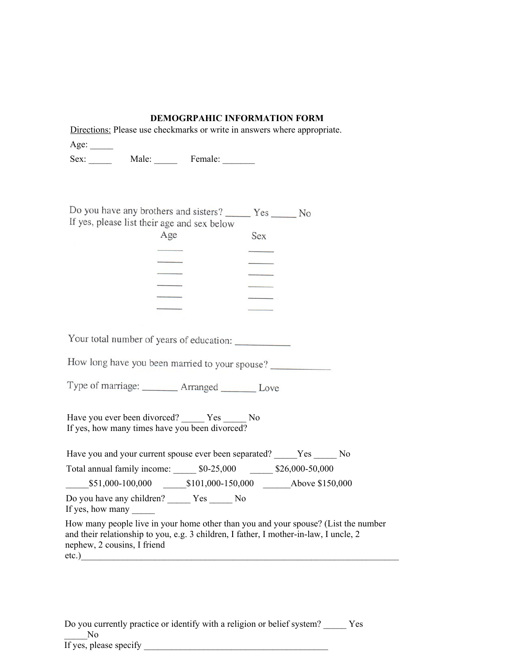## **DEMOGRPAHIC INFORMATION FORM**

Directions: Please use checkmarks or write in answers where appropriate.

Age:  $\_\_$ 

Sex: Male: Female:

| Do you have any brothers and sisters?       | Yes | N <sub>0</sub> |
|---------------------------------------------|-----|----------------|
| If yes, please list their age and sex below |     |                |
| Age                                         | Sex |                |
|                                             |     |                |
|                                             |     |                |

Your total number of years of education:

How long have you been married to your spouse?

Type of marriage: \_\_\_\_\_\_\_\_ Arranged \_\_\_\_\_\_\_ Love

Have you ever been divorced? \_\_\_\_\_ Yes \_\_\_\_\_ No If yes, how many times have you been divorced?

Have you and your current spouse ever been separated? Yes No Total annual family income: \_\_\_\_\_ \$0-25,000 \_\_\_\_\_ \$26,000-50,000  $$101,000-150,000$   $$101,000-150,000$  Above \$150,000 Do you have any children? \_\_\_\_\_ Yes \_\_\_\_\_ No If yes, how many How many people live in your home other than you and your spouse? (List the number and their relationship to you, e.g. 3 children, I father, I mother-in-law, I uncle, 2 nephew, 2 cousins, I friend

etc.)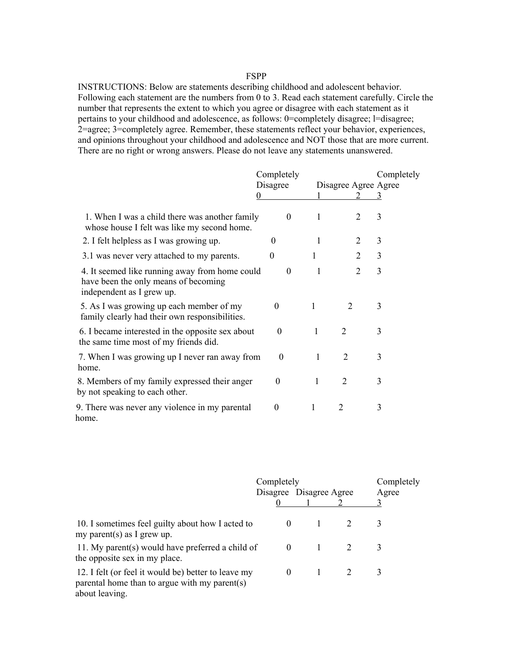## FSPP

INSTRUCTIONS: Below are statements describing childhood and adolescent behavior. Following each statement are the numbers from 0 to 3. Read each statement carefully. Circle the number that represents the extent to which you agree or disagree with each statement as it pertains to your childhood and adolescence, as follows: 0=completely disagree; l=disagree; 2=agree; 3=completely agree. Remember, these statements reflect your behavior, experiences, and opinions throughout your childhood and adolescence and NOT those that are more current. There are no right or wrong answers. Please do not leave any statements unanswered.

|                                                                                                                     | Completely     |              |                      |   | Completely |  |
|---------------------------------------------------------------------------------------------------------------------|----------------|--------------|----------------------|---|------------|--|
|                                                                                                                     | Disagree       |              | Disagree Agree Agree |   |            |  |
|                                                                                                                     | 0              |              | $\mathcal{L}$        | 3 |            |  |
| 1. When I was a child there was another family<br>whose house I felt was like my second home.                       | $\theta$       | 1            | 2                    | 3 |            |  |
| 2. I felt helpless as I was growing up.                                                                             | $\theta$       |              | 2                    | 3 |            |  |
| 3.1 was never very attached to my parents.                                                                          | $\overline{0}$ | 1            | 2                    | 3 |            |  |
| 4. It seemed like running away from home could<br>have been the only means of becoming<br>independent as I grew up. | $\theta$       | $\mathbf{1}$ | $\overline{2}$       | 3 |            |  |
| 5. As I was growing up each member of my<br>family clearly had their own responsibilities.                          | $\theta$       | 1            | 2                    | 3 |            |  |
| 6. I became interested in the opposite sex about<br>the same time most of my friends did.                           | $\theta$       | 1            | $\overline{2}$       | 3 |            |  |
| 7. When I was growing up I never ran away from<br>home.                                                             | $\theta$       | 1            | $\overline{2}$       | 3 |            |  |
| 8. Members of my family expressed their anger<br>by not speaking to each other.                                     | $\theta$       | 1            | $\overline{2}$       | 3 |            |  |
| 9. There was never any violence in my parental<br>home.                                                             | $\Omega$       | 1            | $\mathfrak{D}$       | 3 |            |  |

|                                                                                                                        | Completely<br>Disagree Disagree Agree |  | Completely<br>Agree |   |
|------------------------------------------------------------------------------------------------------------------------|---------------------------------------|--|---------------------|---|
|                                                                                                                        |                                       |  |                     | 3 |
| 10. I sometimes feel guilty about how I acted to<br>my parent(s) as I grew up.                                         | $\theta$                              |  |                     | 3 |
| 11. My parent(s) would have preferred a child of<br>the opposite sex in my place.                                      | $\theta$                              |  |                     | 3 |
| 12. I felt (or feel it would be) better to leave my<br>parental home than to argue with my parent(s)<br>about leaving. | $\theta$                              |  |                     | 3 |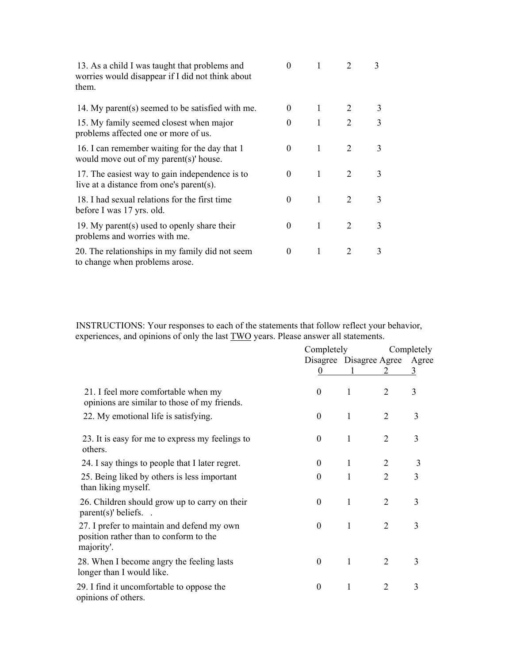| 13. As a child I was taught that problems and<br>worries would disappear if I did not think about<br>them. | 0        |              |                             | 3 |
|------------------------------------------------------------------------------------------------------------|----------|--------------|-----------------------------|---|
| 14. My parent(s) seemed to be satisfied with me.                                                           | 0        | 1            | 2                           | 3 |
| 15. My family seemed closest when major<br>problems affected one or more of us.                            | 0        |              | $\mathcal{L}$               | 3 |
| 16. I can remember waiting for the day that 1<br>would move out of my parent(s)' house.                    | 0        | 1            | 2                           | 3 |
| 17. The easiest way to gain independence is to<br>live at a distance from one's parent(s).                 | 0        | $\mathbf{1}$ | $\mathcal{D}_{\mathcal{L}}$ | 3 |
| 18. I had sexual relations for the first time<br>before I was 17 yrs. old.                                 | 0        | 1            | $\mathcal{L}$               | 3 |
| 19. My parent(s) used to openly share their<br>problems and worries with me.                               | 0        | 1            | 2                           | 3 |
| 20. The relationships in my family did not seem<br>to change when problems arose.                          | $\theta$ | 1            | 2                           | 3 |

INSTRUCTIONS: Your responses to each of the statements that follow reflect your behavior, experiences, and opinions of only the last **TWO** years. Please answer all statements.

|                                                                                                    | Completely       |              | Completely                    |   |  |
|----------------------------------------------------------------------------------------------------|------------------|--------------|-------------------------------|---|--|
|                                                                                                    |                  |              | Disagree Disagree Agree Agree |   |  |
|                                                                                                    | $\Omega$         |              | 2                             | 3 |  |
| 21. I feel more comfortable when my<br>opinions are similar to those of my friends.                | $\boldsymbol{0}$ | 1            | 2                             | 3 |  |
| 22. My emotional life is satisfying.                                                               | $\boldsymbol{0}$ | 1            | $\overline{2}$                | 3 |  |
| 23. It is easy for me to express my feelings to<br>others.                                         | $\boldsymbol{0}$ | 1            | $\overline{2}$                | 3 |  |
| 24. I say things to people that I later regret.                                                    | $\boldsymbol{0}$ | $\mathbf{1}$ | $\overline{2}$                | 3 |  |
| 25. Being liked by others is less important<br>than liking myself.                                 | $\theta$         | $\mathbf{1}$ | $\overline{2}$                | 3 |  |
| 26. Children should grow up to carry on their<br>$parent(s)'$ beliefs.                             | $\boldsymbol{0}$ | $\mathbf{1}$ | 2                             | 3 |  |
| 27. I prefer to maintain and defend my own<br>position rather than to conform to the<br>majority'. | $\theta$         | 1            | $\overline{2}$                | 3 |  |
| 28. When I become angry the feeling lasts<br>longer than I would like.                             | $\theta$         | 1            | 2                             | 3 |  |
| 29. I find it uncomfortable to oppose the<br>opinions of others.                                   | $\boldsymbol{0}$ | 1            | $\overline{2}$                | 3 |  |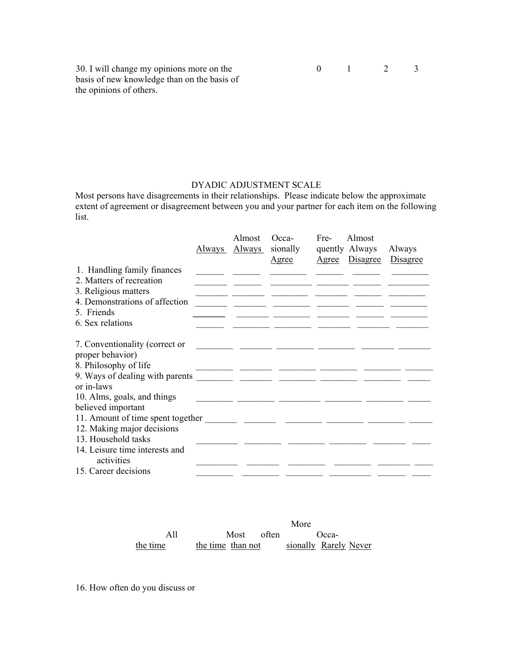30. I will change my opinions more on the 0 1 2 3 basis of new knowledge than on the basis of the opinions of others.

## DYADIC ADJUSTMENT SCALE

Most persons have disagreements in their relationships. Please indicate below the approximate extent of agreement or disagreement between you and your partner for each item on the following list.

|                                              | Always | Almost<br><u>Always</u> | Occa-<br>sionally<br><u>Agree</u> | Fre- | Almost<br>quently Always<br>Agree Disagree | Always<br>Disagree |
|----------------------------------------------|--------|-------------------------|-----------------------------------|------|--------------------------------------------|--------------------|
| 1. Handling family finances                  |        |                         |                                   |      |                                            |                    |
| 2. Matters of recreation                     |        |                         |                                   |      |                                            |                    |
| 3. Religious matters                         |        |                         |                                   |      |                                            |                    |
| 4. Demonstrations of affection               |        |                         |                                   |      |                                            |                    |
| 5. Friends                                   |        |                         |                                   |      |                                            |                    |
| 6. Sex relations                             |        |                         |                                   |      |                                            |                    |
|                                              |        |                         |                                   |      |                                            |                    |
| 7. Conventionality (correct or               |        |                         |                                   |      |                                            |                    |
| proper behavior)                             |        |                         |                                   |      |                                            |                    |
| 8. Philosophy of life                        |        |                         |                                   |      |                                            |                    |
| 9. Ways of dealing with parents              |        |                         |                                   |      |                                            |                    |
| or in-laws                                   |        |                         |                                   |      |                                            |                    |
| 10. Alms, goals, and things                  |        |                         |                                   |      |                                            |                    |
| believed important                           |        |                         |                                   |      |                                            |                    |
|                                              |        |                         |                                   |      |                                            |                    |
| 12. Making major decisions                   |        |                         |                                   |      |                                            |                    |
| 13. Household tasks                          |        |                         |                                   |      |                                            |                    |
| 14. Leisure time interests and<br>activities |        |                         |                                   |      |                                            |                    |
| 15. Career decisions                         |        |                         |                                   |      |                                            |                    |

|          |  |            | More                                    |
|----------|--|------------|-----------------------------------------|
|          |  | Most often | Occa-                                   |
| the time |  |            | the time than not sionally Rarely Never |

16. How often do you discuss or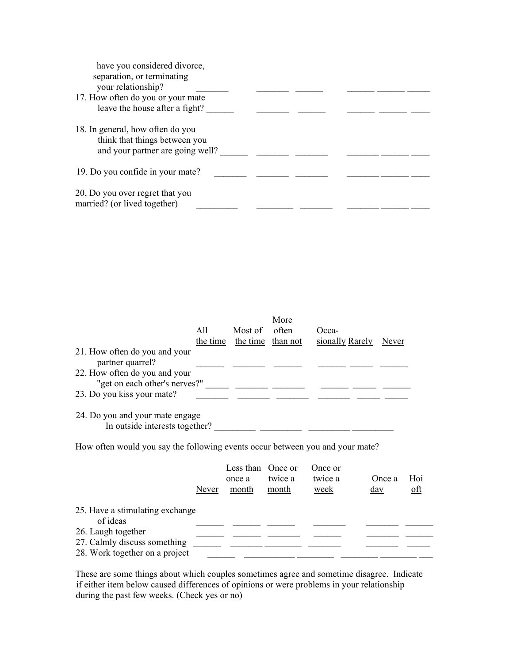| have you considered divorce,      |  |
|-----------------------------------|--|
| separation, or terminating        |  |
| your relationship?                |  |
| 17. How often do you or your mate |  |
| leave the house after a fight?    |  |
|                                   |  |
| 18. In general, how often do you  |  |
| think that things between you     |  |
| and your partner are going well?  |  |
|                                   |  |
| 19. Do you confide in your mate?  |  |
|                                   |  |
| 20, Do you over regret that you   |  |
| married? (or lived together)      |  |

| 21. How often do you and your                                                                                                                                                                                                                                                                                                                                                                                                                            | All   | Most of<br>the time the time than not | More<br>often    | Occa-<br>sionally Rarely   | Never                |            |
|----------------------------------------------------------------------------------------------------------------------------------------------------------------------------------------------------------------------------------------------------------------------------------------------------------------------------------------------------------------------------------------------------------------------------------------------------------|-------|---------------------------------------|------------------|----------------------------|----------------------|------------|
| partner quarrel?<br>22. How often do you and your                                                                                                                                                                                                                                                                                                                                                                                                        |       |                                       |                  |                            |                      |            |
| "get on each other's nerves?" $\frac{1}{\sqrt{1-\frac{1}{2}} \cdot \frac{1}{\sqrt{1-\frac{1}{2}} \cdot \frac{1}{\sqrt{1-\frac{1}{2}} \cdot \frac{1}{\sqrt{1-\frac{1}{2}} \cdot \frac{1}{\sqrt{1-\frac{1}{2}} \cdot \frac{1}{\sqrt{1-\frac{1}{2}} \cdot \frac{1}{\sqrt{1-\frac{1}{2}} \cdot \frac{1}{\sqrt{1-\frac{1}{2}} \cdot \frac{1}{\sqrt{1-\frac{1}{2}} \cdot \frac{1}{\sqrt{1-\frac{1}{2}} \cdot \frac{1}{\sqrt{1-\$<br>23. Do you kiss your mate? |       |                                       |                  |                            |                      |            |
| 24. Do you and your mate engage<br>In outside interests together?                                                                                                                                                                                                                                                                                                                                                                                        |       |                                       |                  |                            |                      |            |
| How often would you say the following events occur between you and your mate?                                                                                                                                                                                                                                                                                                                                                                            |       |                                       |                  |                            |                      |            |
|                                                                                                                                                                                                                                                                                                                                                                                                                                                          | Never | Less than Once or<br>once a<br>month  | twice a<br>month | Once or<br>twice a<br>week | Once a<br><u>day</u> | Hoi<br>oft |
| 25. Have a stimulating exchange<br>of ideas                                                                                                                                                                                                                                                                                                                                                                                                              |       |                                       |                  |                            |                      |            |
| 26. Laugh together<br>27. Calmly discuss something                                                                                                                                                                                                                                                                                                                                                                                                       |       |                                       |                  |                            |                      |            |
| 28. Work together on a project                                                                                                                                                                                                                                                                                                                                                                                                                           |       |                                       |                  |                            |                      |            |

These are some things about which couples sometimes agree and sometime disagree. Indicate if either item below caused differences of opinions or were problems in your relationship during the past few weeks. (Check yes or no)